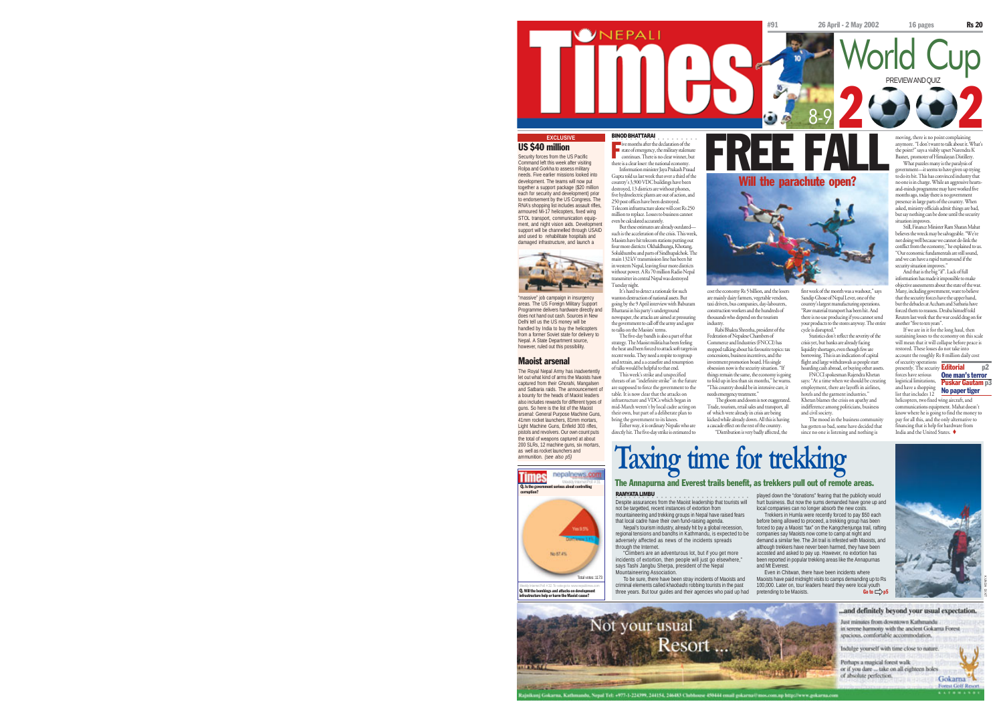

### US \$40 million

Security forces from the US Pacific Command left this week after visiting Rolpa and Gorkha to assess military needs. Five earlier missions looked into development. The teams will now put together a support package (\$20 million each for security and development) prior to endorsement by the US Congress. The RNA's shopping list includes assault rifles armoured Mi-17 helicopters, fixed wing STOL transport, communication equipment, and night vision aids. Development support will be channelled through USAID and used to rehabilitate hospitals and

damaged infrastructure, and launch a

"massive" job campaign in insurgency areas. The US Foreign Military Support Programme delivers hardware directly and does not hand out cash. Sources in New Delhi tell us the US money will be handled by India to buy the helicopters from a former Soviet state for delivery to Nepal. A State Department source, however, ruled out this possibility.

Maoist arsenal

The Royal Nepal Army has inadvertently let out what kind of arms the Maoists have captured from their Ghorahi, Mangalsen and Satbaria raids. The announcement of a bounty for the heads of Maoist leaders also includes rewards for different types of guns. So here is the list of the Maoist arsenal: General Purpose Machine Guns, 41mm rocket launchers, 81mm mortars, Light Machine Guns, Enfield 303 rifles, pistols and revolvers. Our own count puts the total of weapons captured at about 200 SLRs, 12 machine guns, six mortars, as well as rocket launchers and ammunition. *(see also p5)*

**Example 3** state of emergency, the military stalemate<br>continues. There is no clear winner, but there is a clear loser: the national economy. Information minister Jaya Prakash Prasad Gupta told us last week that over a third of the country's 3,900 VDC buildings have been destroyed, 13 districts are without phones, five hydroelectric plants are out of action, and 250 post offices have been destroyed. Telecom infrastructure alone will cost Rs 250

million to replace. Losses to business cannot

□<br>■ ive months after the declaration of the

even be calculated accurately. But these estimates are already outdated such is the acceleration of the crisis. This week, Maoists have hit telecom stati four more districts: Okhaldhunga, Khotang, Solukhumbu and parts of Sindhupalchok. The main 132 kV transmission line has been hit in western Nepal, leaving four more districts without power. A Rs 70 million Radio Nepal transmitter in central Nepal was destroyed Tuesday night. It's hard to detect a rationale for such

wanton destruction of national assets. But going by the 9 April interview with Baburam Bhattarai in his party's underground newspaper, the attacks are aimed at pressuring the government to call off the army and agree to talks on the Maoists' terms. taxi drivers, bus companies, day-labourers, construction workers and the hundreds of thousands who depend on the tourism industry. Rabi Bhakta Shrestha, president of the

.<br>Despite assurances from the Maoist leadership that tourists will not be targetted, recent instances of extortion from mountaineering and trekking groups in Nepal have raised fears that local cadre have their own fund-raising agenda. Nepal's tourism industry, already hit by a global recession,

criminal elements called *khaobadis* robbing tourists in the past three years. But tour guides and their agencies who paid up had

Resort

aba, Nepal Tel: +977-1-224399, 244154, 246483 Clubhoase-450444 email gokar

The five-day bandh is also a part of that strategy. The Maoist militia has been feeling the heat and been forced to attack soft targets in the near and over recent we different control to regroup and retrain, and a a ceasefire and resumption of talks would be helpful to that end. This week's strike and unspecified Federation of Nepalese Chambers of Commerce and Industries (FNCCI) has stopped talking about his favourite topics: tax concessions, business incentives, and the investment promotion board. His single obsession now is the security situation. "If gs remain the same, the economy is going

threats of an "indefinite strike" in the future are supposed to force the government to the table. It is now clear that the attacks on infrastructure and VDCs which began in to fold up in less than six months." he warns "This country should be in intensive care, it needs emergency treatment." The gloom and doom is not exaggerated. Trade, tourism, retail sales and transport, all

of which were already in crisis are b kicked while already down. All this is having a cascade effect on the rest of the country. "Distribution is very badly affected, the

The Annapurna and Everest trails benefit, as trekkers pull out of remote areas.

Will the parachute open? FREE FALL

> first week of the month was a washout," says Sandip Ghose of Nepal Lever, one of the country's largest manufacturing operations. "Raw material transport has been hit. And there is no use producing if you cannot send your products to the stores anyway. The entire cycle is disrupted."

crisis yet, but banks are already facing liquidity shortages, even though few are borrowing. This is an indication of capital flight and large withdrawals as people start hoarding cash abroad, or buying other assets. FNCCI spokesman Rajendra Khetan says: "At a time when we should be creating employment, there are layoffs in airlines,

indifference among politicians, business and civil society. The mood in the business community has gotten so bad, some have decided that since no one is listening and nothing is

pay for all this, and the only alternative to financing that is help for hardware from India and the United States.

the point?" says a visibly upset Narendra K Basnet, promoter of Himalayan Distillery. What puzzles many is the paralysis of government—it seems to have given up trying to do its bit. This has convinced industry that no one is in charge. While an aggressive heartsand-minds programme may have worked five months ago, today there is no government presence in large parts of the country. When asked, ministry officials admit things are bad, but say nothing can be done until the security situation improve

Still, Finance Minister Ram Sharan Mahat believes the wreck may be salvageable. "We're not doing well because we cannot de-link the conflict from the economy," he explained to us. "Our economic fundamentals are still sound, and we can have a rapid turnaround if the security situation improves. And that is the big "if". Lack of full information has made it impossible to make objective assessments about the state of the war. Many, including government, want to believe that the security forces have the upper hand, but the debacles at Accham and Satbaria have forced them to reassess. Deuba himself told Reuters last week that the war could drag on for another "five to ten years".



are mainly dairy farmers, vegetable vendors,

Statistics don't reflect the severity of the If we are in it for the long haul, then sustaining losses to the economy on this scale will mean that it will collapse before peace is restored. These losses do not take into account the roughly Rs 8 million daily cost of security operations<br>presently. The security **Editorial** p2 forces have serious **One man's terror**<br>logistical limitations, Puskar Gautam p3

hotels and the garment industries." Khetan blames the crisis on apathy and and have a shopping<br>list that includes 12<br>helicopters, two fixed wing aircraft, and

communications equipment. Mahat doesn't know where he is going to find the money to



KUNDA DIXIT

been reported in popular trekking areas like the Annapurnas and Mt Everest. Even in Chitwan, there have been incidents where Maoists have paid midnight visits to camps demanding up to Rs 100,000. Later on, tour leaders heard they were local yout pretending to be Maoists. Go to  $\rightharpoonup$   $p5$ 

played down the "donations" fearing that the publicity would hurt business. But now the sums demanded have gone up and local companies can no longer absorb the new costs. Trekkers in Humla were recently forced to pay \$50 each before being allowed to proceed, a trekking group has been forced to pay a Maoist "tax" on the Kangchenjunga trail, rafting companies say Maoists now come to camp at night and demand a similar fee. The Jiri trail is infested with Maoists, and although trekkers have never been harmed, they have been accosted and asked to pay up. However, no extortion has



in serene harmony with the ancient Gokarna Forest spacious, comfortable accommodation. Indulge yourself with time close to nature Perhaps a magical forest walk or if you dare ... take on all eighteen holes

of absolute perfection. Gokarna Forest Golf Resor

**Taxing time for trekking** mid-March weren't by local cadre acting on their own, but part of a deliberate plan to bring the government to its knees. Either way, it is ordinary Nepalis who are directly hit. The five-day strike is estimated to

RAMYATA LIMBU

Not your usual



Weekly Internet Poll #32. To vote go to: www.nepalitimes.com<br>**Q. Will the bombings and attacks on development** i uit buuibiigs diis onouks c<br>heelen help or harm the Mao

kuni Gokarna, Kathi

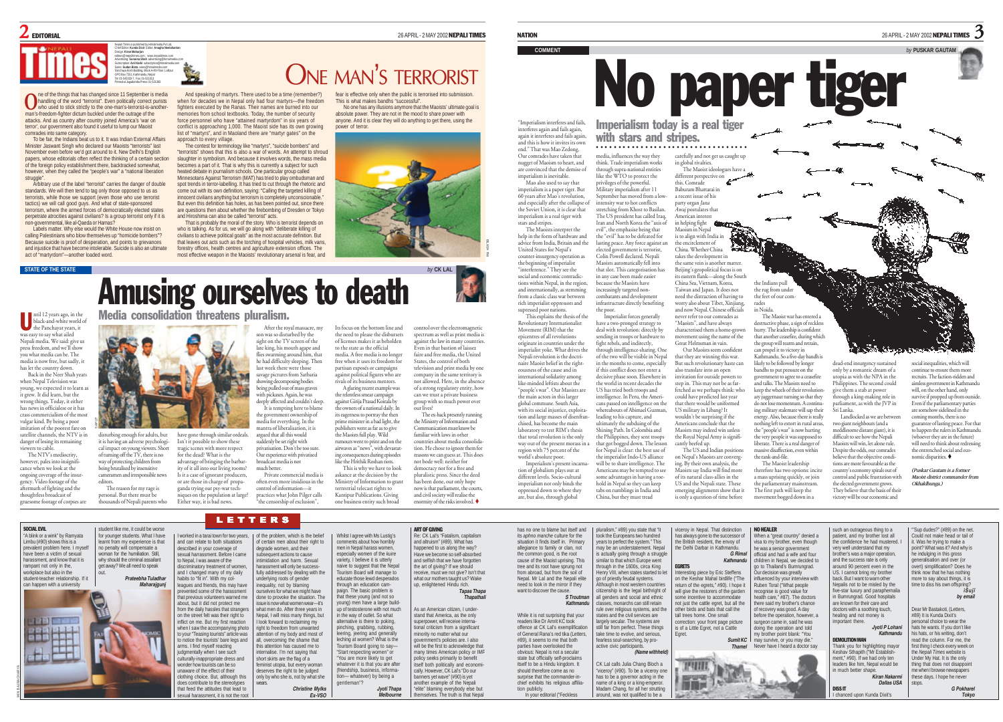### $2$  editional  $26$  applies 26 April - 2 MAY 2002 **NEPALI TIMES**

Nepali Times is published by Himalmedia Pvt Ltd, Chief Editor: **Kunda Dixit** Editor: **Anagha Neelakantan** Design: **Kiran Maharjan** editors@nepalitimes.com, www.nepalitimes.com Advertising: **Sunaina Shah** advertising@himalmedia.com Subscription: **Anil Karki** subscription@himalmedia.com Sales: **Sudan Bista** sales@himalmedia.com Sanchaya Kosh Building, Block A-4th Floor, Lalitpur GPO Box 7251, Kathmandu, Nepal Tel: 01-543333-7, Fax: 01-521013

Printed at Jagadamba Press: 01-521393

ne of the things that has changed since 11 September is media **O** he of the things that has changed since 11 September is media<br>who used to stick strictly to the one-man's-terrorist-is-another-<br>who used to stick strictly to the one-man's-terrorist-is-anotherman's-freedom-fighter dictum buckled under the outrage of the attacks. And as country after country joined America's 'war on terror', our government also found it useful to lump our Maoist comrades into same category.

To be fair, the Indians beat us to it. It was Indian External Affairs Minister Jaswant Singh who declared our Maoists "terrorists" last November even before we'd got around to it. New Delhi's English papers, whose editorials often reflect the thinking of a certain section of the foreign policy establishment there, backtracked somewhat, however, when they called the "people's war" a "national liberation struggle"

Arbitrary use of the label "terrorist" carries the danger of double standards. We will then tend to tag only those opposed to us as terrorists, while those we support (even those who use terrorist tactics) we will call good guys. And what of state-sponsored terrorism, where the armed forces of democratically elected states perpetrate atrocities against civilians? Is a group terrorist only if it is non-governmental, like al-Qaeda or Hamas?

Labels matter. Why else would the White House now insist on calling Palestinians who blow themselves up "homicide bombers"? Because suicide is proof of desperation, and points to grievances and injustice that have become intolerable. Suicide is also an ultimate act of "martyrdom"—another loaded word.

#### **STATE OF THE STATE**

ntil 12 years ago, in the black-and-white world of the Panchayat years, it was easy to say what ailed Nepali media. We said: give us press freedom, and we'll show you what media can be. The media is now free, but sadly, it has let the country down. Back in the Neer Shah years U

when Nepal Television was young, we expected it to learn as it grew. It did learn, but the wrong things. Today, it either has news in officialese or it has crass commercialism of the most vulgar kind. By being a poor imitation of the poorest fare on satellite channels, the NTV is in

danger of losing its remaining viewers to cable. The NTV's mediocrity, however, pales into insig cance when we look at the

ongoing coverage of the insurgency. Video footage of the aftermath of fighting and the thoughtless broadcast of gruesome footage of corpses are editors.

SOCIAL EVIL "A blink or a wink" by Ramyata Limbu (#90) shows this is a prevalent problem here. I m have been a victim of sexual harassment, and know that it is rampant not only in the, workplace but also in the student-teacher relationship. If it can happen with a university

 $7711$ 

MIN BAJRACHARYA

SAPUT

it is having an adverse psychological impact on young viewers. Short of turning off the TV, there is no way of protecting children from being brutalised by insensitive cameramen and irresponsible news

The reason for my rage is sonal. But there must be

approach to every village.

disturbing enough for adults, but tragic scenes with more respect

thousands of Nepali parents who

*Prateebha Tuladhar Maharajgunj*

student like me, it could be worse for younger students. What I have earnt from my experience is that no penalty will compensate a woman for the humiliation. Still, why should the criminatum. Still, get away? We all need to speak out.

have gone through similar ordeals. Isn't it possible to show these wage pictures from Satbaria showing decomposing bodies being pulled out of mass graves with pickaxes. Again, he was deeply affected and couldn't sleep. It is tempting here to blame the government ownership of media for everything. In the mantra of liberalisation, it is argued that all this would suddenly be set right with

when for decades we in Nepal only had four martyrs—the freedom fighters executed by the Ranas. Their names are burned into our memories from school textbooks. Today, the number of security force personnel who have "attained martyrdom" in six years of conflict is approaching 1,000. The Maoist side has its own growing list of "martyrs", and in Maoland there are "martyr gates" on the

The contest for terminology like "martyrs", "suicide bombers" and "terrorists" shows that this is also a war of words. An attempt to shroud

heated debate in journalism schools. One particular group called

and Hiroshima can also be called "terrorist" acts.

for the dead? What is the ntage of bringing the barbar atvainage of error of the all into our living rooms? Is it a case of ignorant producers, or are those in charge of propa-

> I worked in a tarai town for two years, and can relate to both situations escribed in your coverage of sexual harrassment. Before I came to Nepal, I was aware of the liscriminatory treatment of wome and I changed many of my daily habits to "fit in". With my col-leagues and friends, this may have nted some of the harassment that previous volunteers warned me about, but it did not protect me from the daily hassles that stranger on the street felt was their right to nflict on me. But my first reaction when I saw the accompanying photo to your "Teasing tourists" article was o notice the tourists' bare legs and rms. I find myself reacting domentally when I see such culturally-inappropriate dress and wonder how tourists can be so ware of the effect of their clothing choice. But, although this does contribute to the stereotypes that feed the attitudes that lead to sexual harassment, it is not the root

ganda trying out psy-war techniques on the population at large? Either way, it is bad news. often even more insidious in the control of information—it actices what John Pilger calls "the censorship of exclusion",

LETTERS

wears.

*Christine Mylks Ex-VSO*

of the problem, which is the belief of certain men about their right to degrade women, and their subsequent actions to cause intimidation and harm. Sexual harassment will only be success fully addressed by dealing with the ving roots of gender inequality, not by blaming ourselves for what we might have done to provoke the situation. The sue is now what women wear-it's what men do. After three years in Nepal, I will miss many things, but I look forward to reclaiming my right to freedom from unwanted attention of my body and most of all, overcoming the shame that this attention has caused me to nternalise. I'm not saying that short skirts are the flag of a feminist utopia, but every woman deserves the right to be judged only by who she is, not by what she

broadcast media is not much better.

privatisation. Don't be too sure. Our experience with privatised to the state as the official partisan exposés or campaigns against political figures who are rivals of its business mentors. A glaring recent example was the relentless smear campaign against Girija Prasad Koirala by the owners of a national daily. In its eagerness to portray the then prime minister in a bad light, the ublishers went as far as to give the Maoists full play. Wild

Private commercial media is rumours went to print and on the airwaves as "news", with devastating consequences during episodes like the Hrithik Roshan riots. This is why we have to look askance at the decision by the Ministry of Information to grant terrestrial telecast rights to Kantipur Publications. Giving one business entity such broad

> Whilst I agree with Ms Lustig's comments about how horribly nen in Nepal harass wor especially women of the *kuire* variety, I believe it is utterly naive to suggest that the Nepa Tourism Board will manage to educate those lewd desperados through an education campaign. The basic problem is that these young (and not so young) men have a large buildup of testosterone with not much in the way of outlet. So what alternative is there to poking, pinching, grabbing, rubbing, leering, jeering and generally leching at women? What is the Tourism Board going to say— "Start respecting women" or "You are more likely to get whatever it is that you are after (friendship, business, information— whatever) by being a gentleman"?

> > *Jyoti Thapa Melbourne*

our lives?

company in the same territory is not allowed. Here, in the absence of a strong regulatory entity, how can we trust a private business group with so much power over The ex-hack presently running the Ministry of Information and Communication must know be

familiar with laws in other countries about media consolidation. He chose to ignore them for reasons we can guess at. This does not bode well: neither for democracy nor for a free and pluralistic press. Since the deed has been done, our only hope now is that parliament, the courts, and civil society will realise the enormity of the risks involved

> ART OF GIVING Re: CK Lal's "Fatalism, capitalism and altruism" (#89). What has happened to us along the way? Have we become so self-absorbed and selfish that we have forgotten the art of giving? If we should receive, must we not give? Isn't that what our mothers taught us? Wake up, enlightened Hindu rich.

*Tapas Thapa Thapathali*

As an American citizen, I understand that America, as the only superpower, will receive international criticism from a significant minority no matter what our government's policies are. I also will be the first to acknowledge that many times American policy or IMF policy seeks primarily to benefit itself both politically and economi cally. However, CK Lal's "Do our banners yet wave" (#90) is yet another example of the Nepali "elite" blaming everybody else but the staming every seely else set

imperialism is a paper tiger. But 60 years after Mao's revolution, and especially after the collapse of the Soviet Union, it is clear that imperialism is a real tiger with stars and stripes. The Maoists interpret the help in the form of hardware and advice from India, Britain and the United States for Nepal's counter-insurgency operation as the beginning of imperialist "interference." They see the

"Imperialism interferes and fails, interferes again and fails again, again it interferes and fails again and this is how it invites its own end." That was Mao Zedong. Our comrades have taken that

BILASH RAI

international solidarity among like-minded leftists about the "people's war". Our Maoists are the main actors in this large <sup>g</sup>lobal commune. South Asia, with its social injustice, exploitation and large masses of disenfranchised, has become the main the poor. Imperialist forces generally

laboratory to test RIM's thesis that total revolution is the only way out of the present morass in a region with 75 percent of the world's absolute poor. Imperialism's present incarnation of globalism plays out at different levels. Socio-cultural imperialism not only binds the oppressed down to where they ultimately the subduing of the Shining Path. In Colombia and the Philippines, they sent troops that got bogged down. The lesson for Nepal is clear: the best use of the imperialist Indo-US alliance will be to share intelligence. The Americans may be tempted to see some advantages in having a toehold in Nepal so they can keep tabs on rumblings in India and

nugget of Maoism to heart, and are convinced that the demise of imperialism is inevitable. Mao also used to say that think. Trade imperialism works through supra-national entities like the WTO to protect the vileges of the powerful. Military imperialism after 11 September has moved from a lowintensity war to hot conflicts stretching from Khost to Basilan. The US president has called Iraq, Iran and North Korea the "axis of evil", the emphasise being that the "evil" has to be defeated for lasting peace. Any force against an elected government is terrorist, Colin Powell declared. Nepali

media, influences the way they

Maoists automatically fell into that slot. This categorisation has in any case been made easier because the Maoists have increasingly targeted noncombatants and development infrastructure directly benefiting

have a two-pronged strategy to deal with revolution: directly by sending in troops or hardware to fight rebels, and indirectly,<br>through intelligence-sharing One through intelligence-sharing. One of the two will be visible in Nepal in the months to come, especially if this conflict does not enter a decisive phase soon. Elsewhere in the world in recent decades the US has tried both troops and intelligence. In Peru, the Americans passed on intelligence on the whereabouts of Abimael Guzman, leading to his capture, and

are, but also, through global China, but they must tread

> pluralism," #89) you state that "it took the Europeans two hundred years to perfect the system." This nav be an understatement. Nepa is actually going through a struggle similar to that which Europe went hrough in the 1600s, circa King enry VIII, when states started to let go of priestly feudal systems. .<br>Although in most western countr citizenship is the legal birthright of all genders and social and ethnic dasses, monarchs can still retain rule over religious systems, and the states and the civil services are largely secular. The systems are still far from perfect. These things take time to evolve, and serious, fearless soul-searching, by proactive civic participants

*(Name withheld)* CK Lal calls Julia Chang Bloch a viceroy" (#90). To be a viceroy one has to be a governor acting in the name of a king or a king-emperor. Madam Chang, for all her strutting around, was not qualified to be a

has no one to blame but itself and its *aphno manche* culture for the situation it finds itself in. Primary allegiance to family or clan, not the common good, is the root cause of the Maoist uprising. This tree and its root have sprung not from abroad, but from the soil of Nepal. Mr Lal and the Nepali elite need to look in the mirror if they want to discover the cause

While it is not surprising that your readers like Dr Amrit KC took offence at CK Lal's exempl of General Rana's red tika (Letters, #89), it seems to me that both parties have overlooked the obvious: Nepal is not a secular state but officially self-proclaims state but ombianly sem-problaming should therefore come as no surprise that the commander-in chief exhibits his religious affiliation publicly. In your editorial ("Feckless

*S Troutman Kathmandu*

with stars and stripes. ○○○○○○○○○○○○○○○○○○○○○○○○○○○○○○○○○

> carefully and not get us caught up in global rivalries. The Maoist ideologues have:

different perspective on this. Comrade Baburam Bhattarai in a recent issue of his party organ Jana Awaj postulates that American interest in helping fight Maoism in Nepal is to align with India in the encirclement of China. Whether China takes the development in the same vein is another matter. Beijing's geopolitical focus is on its eastern flank—along the South China Sea, Vietnam, Korea, Taiwan and Japan. It does not need the distraction of having to

worry also about Tibet, Xinjiang, and now Nepal. Chinese officials never refer to our comrades as ever refer to our commercy.<br>Maoists", and have always characterised them a home-grown movement using the name of the Great Helmsman in vain. Our Maoists seem confident that they are winning this war. the feet of our comin Noida. hurry. The leadership is confident the group will rearm and retrain. can propel it to victory in

the Indians pull the rug from under

The Maoist war has entered a destructive phase, a sign of reckless

that another ceasefire, during which

Kathmandu. So a five-day bandh is

and talks. The Maoists need to keep the wheels of their revolutionary juggernaut turning so that they

nothing left to extort in rural areas,

rades

But such revolutionary haste can also translate into an open invitation for outside powers to step in. This may not be as farfetched as we perhaps think: who could have predicted last year that there would be uniformed US military in Libang? It wouldn't be surprising if the Americans conclude that the Maoists may indeed win unles the Royal Nepal Army is significantly beefed up. The US and Indian positions likely to be followed by longer bandhs to put pressure on the government to agree to a ceasefire do not lose momentum. A continuing military stalemate will sap their energy. Also, because there is really the "people's war" is now hurting the very people it was supposed t liberate. There is a real danger of massive disaffection, even within

on Nepal's Maoists are converging. By their own analysis, the Maoists say India will find more of its natural class-allies in the US and the Nepali state. These emerging alignments show that it is only a question of time before the rank-and-file.

> *G Rimal Kathmandu*

> > Our decision was greatly influenced by your interview with Ruben Toral ("What people recognise is good value for ealth care," #87). The doctors ere said my brother's chance recovery was good. A day efore the operation, however, a surgeon came in, said he was doing the operation and told my brother point blank: "You may survive, or you may die." Never have I heard a doctor say

*Sumit KC Thamel*

viceroy in Nepal. That distinction has always gone to the successor of the British resident, the envoy of he Delhi Darbar in Kathmandı.

Interesting piece by Eric Steffens<br>on the Kechar Mahal birdife ("The on the Keshar Mahal birdlife ("The return of the egrets," #90). I hope it will give the restorers of the garden some incentive to accommo not just the cattle egret, but all the other birds and bats that call the tall trees home. One small correction: your front page picture is of a Little Egret, not a Cattle Egret.

> **INTER** 腰胸門

EGRETS

dead-end insurgency sustained only by a romantic dream of a utopia as with the NPA in the Philippines. The second could <sup>g</sup>ive them a stab at power through a king-making role in parliament, as with the JVP in Sri Lanka.

<u>E estatuban</u>

Landlocked as we are between two giant neighbours (and a meddlesome distant giant), it is difficult to see how the Nepali Maoists will win, let alone rule. Despite the odds, our comrades believe that the objective condi-

continue to ensure them more recruits. The faction-ridden and aimless government in Kathmandu

will, on the other hand, only survive if propped up from outside Even if the parliamentary parties are somehow sidelined in the coming months, there is no guarantee of lasting peace. For that to happen the rulers in Kathmandu (whoever they are in the future) will need to think about redressing the entrenched social and eco-

social inequalities, which will

"'Sup dudes?" (#89) on the net. Could not make head or tail of

> *G Pokharel Tokyo*

nomic disparities. *(Puskar Gautam is a former Maoist district commander from Okhaldhunga.)*



mportant there.

**EMOLITION MAN** 

much better shape

DISS IT chanced upon Kunda Dixit's



slaughter in symbolism. And because it involves words, the mass media becomes a part of it. That is why this is currently a subject for such Minnesotans Against Terrorism (MAT) has tried to play ombudsman and spot trends in terror-labelling. It has tried to cut through the rhetoric and come out with its own definition, saying: "Calling the targeted killing of innocent civilians anything but terrorism is completely unconscionable. But even this definition has holes, as has been pointed out, since there are questions then about whether the firebombing of Dresden or Tokyo That is probably the moral of the story. Who is terrorist depends on who is talking. As for us, we will go along with "deliberate killing of civilians to achieve political goals" as the most accurate definition. But that leaves out acts such as the torching of hospital vehicles, milk vans, forestry offices, health centres and agriculture extension offices. The most effective weapon in the Maoists' revolutionary arsenal is fear, and

### ONE MAN'<sup>S</sup> TERRORIST And speaking of martyrs. There used to be a time (remember?)

fear is effective only when the public is terrorised into submit This is what makes bandhs "successful".

No one has any illusions anymore that the Maoists' ultimate goal is absolute power. They are not in the mood to share power with anyone. And it is clear they will do anything to get there, using the power of terror.

NATION  $_{26}$  April - 2 May 2002 NEPALI TIMES  $\,$  3  $_{26}$  April - 2 May 2002 NEPALI TIMES  $\,$  3



No paper tiger Imperialism today is a real tiger

**COMMENT** *by* **PUSKAR GAUTAM**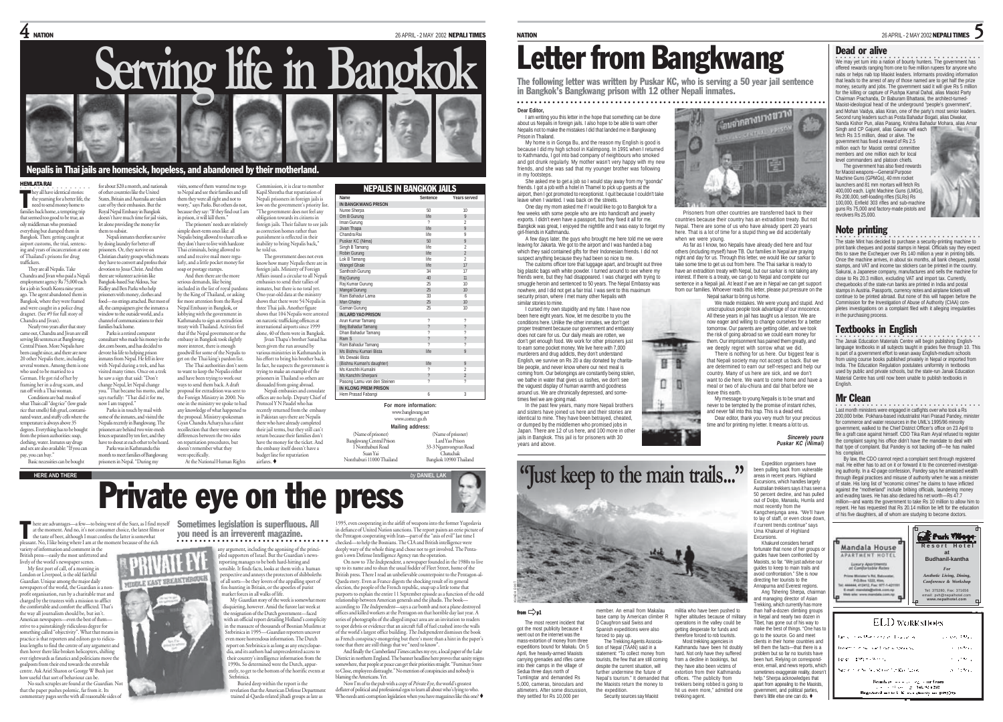NEPALIS IN BANGKOK JAILS **Name Sentence Years served**

Iman Gurung 2008 2012 2022



### Nepalis in Thai jails are homesick, hopeless, and abandoned by their motherland.

#### HEMLATA RAI

hey all have identical stories: the yearning for a better life, the me yearning ror a octur, me, c<br>need to send money home to families back home, a tempting trip that seemed too good to be true, an oily middleman who promised everything but dumped them in Bangkok. Then: getting caught at airport customs, the trial, sentencing and years of incarceration at one States, Britain and Australia are taken care of by their embassies. But the Royal Nepal Embassy in Bangkok doesn't have much time for jail visits let alone providing the money for them to subsist. by doing laundry for better off ers. Or, they survive on T

of Thailand's prisons for drug traffickers. They are all Nepalis. Take Chandra and Jivan who paid a Nepali employment agency Rs 75,000 each for a job in South Korea nine years ago. The agent abandoned them in Bangkok, where they were framed and were caught in a police drug Christian charity groups which means they have to convert and profess their devotion to Jesus Christ. And then there are volunteer activists like Bangkok-based Sue Aldous, Sue Ridley and Ben Parks who help prisoners with money, clothes and food—no strings attached. But most of all, the campaigners give the inmates a window to the outside world, and a

dragnet. (See #9 for full story of Chandra and Jivan). Nearly two years after that stor came out, Chandra and Jivan are still serving life sentences at Bangkwang Central Prison. More Nepalis have been caught since, and there are now

20 other Nepalis there, including several women. Among them is on who used to be married to a German. He got rid of her by framing her in a drug scam, and ran off with a Thai woman. Conditions are bad: meals of

what Thais call "dog rice" (low grade rice that smells) fish gruel, contami-nated water, and stuffy cells where the te is always above 35 degrees. Everything has to be bought the prison authorities: soar, clothing, water. Inmates say drugs and sex are also available: "If you can pay, you can buy." says ruefully: "That did it for me, now I am trapped." some of the inmates, and visited the Nepalis recently in Bangkwang. The ences separated by ten feet, and they have to shout at each other to be heard.

Basic necessities can be bought month to meet families of Bangkwang prisoners in Nepal. "During my

channel of communications to their families back home. Parks is a retired computer consultant who made his money in the dot.com boom, and has decided to devote his life to helping prison inmates from Nepal. He fell in love with Nepal during a trek, and has visited many times. Once on a trek he saw a sign that said: "Don't change Nepal, let Nepal change you." That became his motto, and he

Parks is in touch by mail with

prisoners are behind two wire-mesh

Parks was in Kathmandu this

for about \$20 a month, and nationals of other countries like the United Nepali inmates therefore survive visits, some of them wanted me to go to Nepal and see their families and tell them they were all right and not to worry," says Parks. But others do not, because they say: "If they find out I am in prison, it will kill them." The prisoners' needs are relatively simple short-term ones like: all Nepalis being allowed to share cells so

they don't have to live with hardcore Thai criminals, being allowed to send and receive mail more regularly, and a little pocket money for he told us.

soap or postage stamps. And then there are the more serious demands, like being included in the list of royal pardons by the King of Thailand, or asking for more attention from the Royal Nepal Embassy in Bangkok, or lobbying with the government in Kathmandu to sign an extradition treaty with Thailand. Activists feel that if the Nepal government or the embassy in Bangkok took slightly more interest, there is enough

goodwill for some of the Nepalis to get on the Thai king's pardon list. The Thai authorities don't seem to want to keep the Nepalis either and have been trying to work out ways to send them back. A draft proposal for extradition was sent to

the Foreign Ministry in 2000. No one in the ministry we spoke to had any knowledge of what happened to the proposal. Ministry spokesman Gyan Chandra Acharya has a faint recollection that there were some differences between the two sides on repatriation procedures, but doesn't remember what they were specifically. At the National Human Rights airfares.

Commission, it is clear to member Kapil Shrestha that repatriation of Nepali prisoners in foreign jails is ow on the government's priority list "The government does not feel any obligation towards its citizens in foreign jails. Their failure to see jails as correction homes rather than punishment is reflected in their nability to bring Nepalis back,"

The government does not even know how many Nepalis there are in foreign jails. Ministry of Foreign Affairs issued a circular to all Nepali embassies to send their tallies of inmates, but there is no total yet. One-year-old data at the ministry shows that there were 54 Nepalis in three Thai jails. Another figure shows that 104 Nepalis were arreste on narcotic trafficking offences at national airports since 1999 alone, 40 of them were in Bangkok. Jivan Thapa's brother Sanad has been given the run around by

various ministries in Kathmandu in his effort to bring his brother back.  $\overline{\ln}$  fact, he suspects the government trying to make an example of the prisoners in Thailand so others are suaded from going abroad.<br>Nenali embassies and consulati

Nepali embassies and consulate offices are no help. Deputy Chief of Protocol Y N Paudel who has recently returned from the embass in Pakistan says there are Nepalis there who have already completed their jail terms, but they still can't return because their families don't have the money for the ticket. And the embassy itself doesn't have a budget line for repatriation

Jivan Thapa Chandra Ra Puskar KC (Nima) s<br>Singh B Tamang Robin Gurung Lok B Tamang 2012 - 2014 - 2014 - 2014 - 2014 - 2014 - 2014 - 2014 - 2014 - 2014 - 20 Wangel Ghale s<br>hosh Gurung Raj Gurung 40 11 Raj Kumar Gurung Mangal Gurung wanya ouruny<br>Ram Bahadur Lam Man Ghaley Gaman Gurung 25 10 **IN LARD YAO PRISON** Arun Kumar Tamang Peumumumumung<br>Beg Bahadur Tamang Dhan Bahadur Taman<br>Pam S Ram S ? ? Ram Bahadur Tamang ? ? Ms Bishnu Kumari Bist Ms Dewaki Bista nis Benare Bista<br>(Bishnu Kumari's daugh .<br>Ms Kanchhi Kumaln Ms Kanchhi Sherpani Pasong Lamu von den Steinen ? ? **IN KLONG PREM PRISON** Hem Prasad Fabangi 6 3

**IN BANGKWANG PRISON** Vuree Sherpa Om B Gurung<br>Iman Gurung

> **For more information:** (Name of prisoner) Bangkwang Central Prison 1 Nonthaburi Road Suan Yai www.bangkwang.net www.correct.go.th **Mailing address:**

**HERE AND THERE** *by* **DANIEL LAK** Nonthaburi 11000 Thailand 33-3 Ngamvongvan Road Chatuchak Bangkok 10900 Thailand

(Name of prisoner) Lard Yao Prison

# Private eye on the press

here are advantages—a few—to being west of the Suez, as I find myself Sometimes legislation is superfluous. All at the moment. And no, it's not consumer choice, the latest films or the taste of beer, although I must confess the latter is somewhat sant. No, I like being where I am at the moment because of the rich T

variety of information and comment in the British press—easily the most unfettered and lively of the world's newspaper scenes.

My first port of call, of a morning in London or Liverpool, is the old faithful<br>Guardian. Unique among the major dai MIDDLE EAST BREAKTHROUGH ue among the major daily newspapers of the world, the Guardian is a nonprofit organisation, run by a charitable trust and charged by the trustees with a mission to afflict the comfortable and comfort the afflicted. That's the way all journalism should be, but isn't. American newspapers—even the best of them strive to a painstakingly ridiculous degree for something called "objectivity". What that means in practice is that reporters and editors go to ridiculous lengths to find the centre of any argument and then hover there like broken helicopters, shifting ever rightwards as fanatics and politicians move the goalposts from their end towards the erstwhile The Ask Ariel Sharon or George W Bush just<br>wuseful that sort of behaviour can be. how useful that sort of behaviou

No such scruples are found at the Guardian. Not that the paper pushes polemic, far from it. Its tary pages seethe with all reasonable sides of you need is an irreverent magazine. ○○○○○○○○○○○○○○○○○○○○○○○○○○○○○○○

> any argument, including the agonising of the princi-pled supporters of Israel. But the Guardian's newsreporting manages to be both hard-hitting and sensible. It finds facts, looks at them with a human perspective and annoys the protectors of shibboleths of all sorts—be they lovers of the appalling sport of fox-hunting in Britain, or the apostles of purist market forces in all walks of life.

My Guardian story of the week is somewhat mor disquieting, however. Amid the furore last week at the resignation of the Dutch government—faced with an official report detailing Holland's complicity in the massacre of thousands of Bosnian Muslims at Srebrinica in 1995—Guardian reporters uncover even more horrendous information. The Dutch report on Srebrinica is as long as any encyclopaedia, and its authors had unprecedented access to their country's intelligence information from the 1990s. So determined were the Dutch, apparently, to get to the bottom of the horrific events at Srebrin

Buried deep within the report is the on that the American Defense Department trained al-Qaeda-related jihadi groups as late as

ting in the airlift of weapons into the former Yugoslavia in defiance of United Nation sanctions. The report paints an eerie picture of the Pentagon cooperating with Iran—part of the "axis of evil" last time I checked—to help the Bosnians. The CIA and British intelligence were deeply wary of the whole thing and chose not to get involved. The Penta-

gon's own Defense Intelligence Agency ran the operation.<br>On now to *The Independent,* a newspaper founded in the 1980s to live<br>up to its name and to shun the usual fodder of Fleet Street, home of the British press. There I read an unbelievable counterpoint to the Pentagon-al-Qaeda story. Even as France digests the shocking result of its general election, the people of the French republic, snap up a little tome that purports to explain the entire 11 September episode as a function of the odd relationship between American generals and the jihadis. The book according to The Independent—says a car bomb and not a plane destroyed offices and killed workers at the Pentagon on that horrible day last year. A series of photographs of the alleged impact area are an invitation to readers to spot debris or evidence that an aircraft full of fuel crashed into the walls of the world's largest office building. The Independent dismisses the book as French conspiracy-mongering but there's more than a hint in the paper's

tone that there are still things that we "need to know". And finally the Cumberland Times catches my eye, a local paper of the Lake District in northern England. The banner headline here proves that sanity reigns somewhere, that people at peace can get their priorities straight. "Furniture Store<br>to Close, employes distraught "No mention of conspiracies and nobody is es distraught." No mention of conspiracies and nobody is blaming the Americans. Yet.

Now I'm of to the pub with a copy of Private Eye, the world's greatest deflater of political and professional egos to learn all about who's lying to who.<br>Who needs anti-corruption legislation when you have magazines like this one? ♦

# Letter from Bangkwang

The following letter was written by Puskar KC, who is serving a 50 year jail sentence in Bangkok's Bangkwang prison with 12 other Nepali inmates.

**Dear Editor,** ○○○○○○○○○○○○○○○○○○○○○○○ ○○○○○○○○○○○○○○○○○○○○○○○○○○○○○○○○○○○○○○○○○○○○○○○

I am writing you this letter in the hope that something can be done about us Nepalis in foreign jails. I also hope to be able to warn other Nepalis not to make the mistakes I did that landed me in Bangkwang Prison in Thailand.

My home is in Gonga Bu, and the reason my English is good is because I did my high school in Kalimpong. In 1991 when I returned to Kathmandu, I got into bad company of neighbours who smoked and got drunk regularly. My mother wasn't very happy with my new friends, and she was sad that my younger brother was following in my footsteps.

She asked me to get a job so I would stay away from my "goonda" friends. I got a job with a hotel in Thamel to pick up guests at the airport, then I got promoted to receptionist. I quit because I couldn't take leave when I wanted. I was back on the streets.

One day my mom asked me if I would like to go to Bangkok for a few weeks with some people who are into handicraft and jewelry exports. I didn't even have a passport, but they fixed it all for me. Bangkok was great, I enjoyed the nightlife and it was easy to forget my girl-friends in Kathmandu.

leaving for Jakarta. We got to the airport and I was handed a bag which they said contained gifts for their Indonesian friends. I did not suspect anything because they had been so nice to me.

The customs officer tore that luggage apart, and brought out three big plastic bags with white powder. I turned around to see where my friends were, but they had disappeared. I was charged with trying to smuggle heroin and sentenced to 50 years. The Nepal Embassy was nowhere, and I did not get a fair trial. I was sent to this maximum security prison, where I met many other Nepalis with similar stories to mine.

I cursed my own stupidity and my fate. I have now been here eight years. Now, let me describe to you the conditions here. Unlike the other inmates, we don't get proper treatment because our government and embassy does not care for us. Our daily meals are rotten, we don't get enough food. We work for other prisoners just to earn some pocket money. We live here with 7,000 murderers and drug addicts, they don't understand English, we survive on Rs 20 a day donated by charitable people, and never know where our next meal is coming from. Our belongings are constantly being stolen, we bathe in water that gives us rashes, we don't see the vanuest display of human warmth and goodness around us. We are chronically depressed, and sometimes feel we are going mad. In the past few years, many more Nepali brothers

# <sub>อนจากสางบางขวาง</sup></sub> 層

countries because their country has an extradition treaty. But not Nepal. There are some of us who have already spent 20 years here. That is a lot of time for a stupid thing we did accidentally when we were young.

As far as I know, two Nepalis have already died here and four others (including myself) have TB. Our families in Nepal are praying night and day for us. Through this letter, we would like our sarkar to take some time to get us out from here. The Thai sarkar is ready to have an extradition treaty with Nepal, but our sarkar is not taking any interest. If there is a treaty, we can go to Nepal and complete our sentence in a Nepali jail. At least if we are in Nepal we can get support from our families. Whoever reads this letter, please put pressure on the Nepal sarkar to bring us home.

unscrupulous people took advantage of our innocence. All these years in jail has taught us a lesson. We are now eager and willing to change ourselves for a better tomorrow. Our parents are getting older, and we took the risk of going abroad so we could earn money for them. Our imprisonment has pained them greatly, and we deeply regret with sorrow what we did.

that Nepali society may not accept us back. But we are determined to earn our self-respect and help our country. Many of us here are sick, and we don't want to die here. We want to come home and have a meal or two of alu-chiura and dal bhat before we

My message to young Nepalis is to be smart and never to be tempted by the promise of instant riches, and never fall into this trap. This is a dead end. Dear editor, thank you very much for your precious time and for printing my letter. It means a lot to us.

*Sincerely yours Puskar KC (ìNimaî)*

Expedition organisers have been pulling back from vulnerable areas in recent years. Highland Excursions, which handles largely Australian trekkers says it has se 50 percent decline, and has pulled out of Dolpo, Manaslu, Humla and most recently from the

if current trends continue" says Uma Khakurel of Highland Excursions.

Khakurel considers herself guides have been confronted by avoid confrontation." She is now directing her tourists to the Annapurna and Everest regions. and managing director of Asian

higher altitudes because of military operations in the valley could be apart from appealing to the Maoists, government, and political parties,

**The Janak Education Materials Centre will begin publishing English-**<br>language textbooks in all subjects taught in grades five through 10. This Textbooks in English is part of a government effort to wean away English-medium schools from using course books published privately in Nepal or imported from India. The Education Regulation postulates uniformity in textbooks

pletes investigations on a complaint filed with it alleging irregularities

used by public and private schools, but the state-run Janak Education Material Centre has until now been unable to publish textbooks in English.

### Mr Clean

.<br>Last month ministers were engaged in catfights over who took a Rs<br>200,000 bribe. Pokhara-based industrialist Hari Prasad Pandey, minister for commerce and water resources in the UML's 1995/96 minority government, walked to the Chief District Officer's office on 23 April to file a graft case against himself. CDO Tika Ram Aryal refused to registe the complaint saying his office didn't have the mandate to deal with that type of complaint. But Pandey is not backing off—he has mailed his complaint.

By law, the CDO cannot reject a complaint sent through registered mail. He either has to act on it or forward it to the concerned investigating authority. In a 42-page confession, Pandey says he amassed wealth through illegal practices and misuse of authority when he was a minister of state. His long list of "economic crimes" he claims to have inflicted against the "motherland" include bribing officials, laundering money and evading taxes. He has also declared his net worth—Rs 47.7 million—and wants the government to take Rs 10 million to allow him to repent. He has requested that Rs 20.14 million be left for the education

of his five daughters, all of whom are studying to bec



**General Association of the Control** Treatments with an Experience was su-**Contractor** Tele (1993) World a pres Service of Service Service Content States  $\mathcal{N} = \mathcal{N}(\mathcal{M}_{\mathcal{M}})$ 

Chairman Prachanda, Dr Baburam Bhattarai, the architect-turned-Maoist-ideological head of the underground "people's government", Second rung leaders such as Posta Bahadur Bogati, alias Diwakar, Nanda Kishor Pun, alias Pasang, Krishna Bahadur Mohara, alias Amar

fetch Rs 3.5 million, dead or alive. The government has fixed a reward of Rs 2.5 million each for Maoist central committee medical roll wades commanded in the model. level commanders and platoon chiefs.

The government has also fixed rewards for Maoist weapons—General Purpose Machine Guns (GPMGs), 40 mm rocket launchers and 81 mm mortars will fetch Rs 400,000 each. Light Machine Guns (LMGs),<br>Rs 200,000, self-loading rifles (SLRs) Rs

maa k 狂语  $\mathbb{R}$ D

A few days later, the guys who brought me here told me we were

and sisters have joined us here and their stories are identical to mine. They have been betrayed, cheated, or dumped by the middlemen who promised jobs in Japan. There are 12 of us here, and 100 more in other iails in Bangkok. This jail is for prisoners with 30 years and above.

# **"Just keep to the main trails..." Bander Co.** member. An email from Makalau militia who have been pushed to from Öp1

The most recent incident that got the most publicity because it went out on the internet was the mass-extortion of money from three expeditions bound for Makalu. On 5 April, five heavily-armed Maoists carrying grenades and rifles came into their camps in the village of Sedua three days north of Tumlingtar and demanded Rs 5,000, cameras, binoculars and altimeters. After some discussion, they settled for Rs 10,000 per base camp by American climber R D Caughron said Swiss and forced to pay up. the expedition.

KUNDA DIXIT

Spanish expeditions were also The Trekking Agents Association of Nepal (TAAN) said in a statement: "To collect money from tourists, the few that are still coming despite the current situation, will further undermine the future of Nepal's tourism." It demanded that the Maoists return the money to Security sources say Maoist getting desperate for funds and therefore forced to rob tourists. Most trekking agencies in Kathmandu have been hit doubly hard. Not only have they suffered from a decline in bookings, but they have also been victims of extortion from their Kathmandu offices. "The publicity from trekkers being robbed is going to hit us even more," admitted one trekking agent.



We made mistakes. We were young and stupid. And There is nothing for us here. Our biggest fear is



Kangchenjunga area. "We'll have to lay of staff, or even close down

fortunate that none of her groups or Maniete, en far. "We just advise our guides to keep to main trails and Ang Tshering Sherpa, chairman

there's little else one can do.

Trekking, which currently has more than half-a-dozen climbing groups in Nepal and nearly two dozen in Tibet, has gone out of his way to make the best of things. "One has to go to the source. Go and meet clients in their home countries and tell them the facts—that there is a problem but so far no tourists have been hurt. Relying on correspondence, email, and news reports, which sometimes exaggerate reality, doesn't help." Sherpa acknowledges that

 $\frac{26 \text{ APRIL} \cdot 2 \text{ MAX}}{2002 \text{ NEPALI} \cdot \text{TIMES}}$ Dead or alive

.<br>We may yet turn into a nation of bounty hunters. The government has<br>offered rewards ranging from one to five million rupees for anyone who nabs or helps nab top Maoist leaders. Informants providing information that leads to the arrest of any of those named are to get half the prize money, security and jobs. The government said it will give Rs 5 million for the killing or capture of Pushpa Kamal Dahal, alias Maoist Party and Mohan Vaidya, alias Kiran, one of the party's most senior leaders.

Singh and CP Gajurel, alias Gaurav will each

Rs 200,000, self-loading rifles (SLRs) Rs 100,000, Enfield 303 rifles and sub-machine guns Rs 75,000 and factory-made pistols and revolvers Rs 25,000.

in the purchasing process.

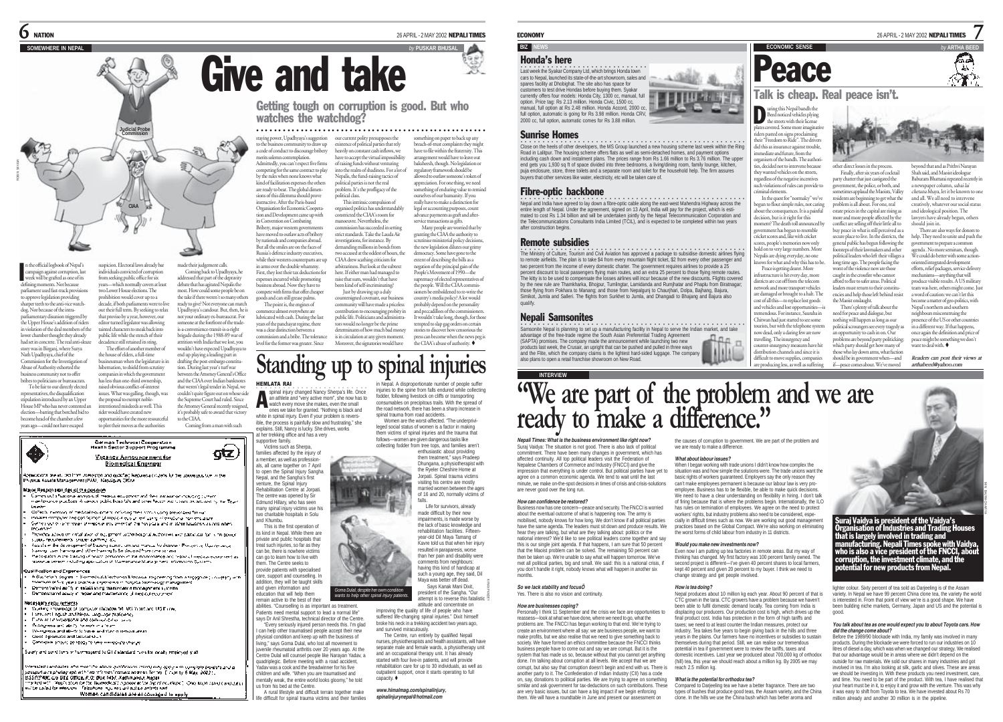

n the official logbook of Nepal's campaign against corruption, last week will be grafted as one of its defining moments. Not because parliament used fast-track provision .<br>to approve legislation providing sharper teeth to the anti-vice watchdog. Nor because of the intraparliamentary disunion triggered by the Upper House's addition of riders on of the deal members of the lower chamber thought they already had set in concrete. The real anti-sleaze story was in Birganj, where Surya Nath Upadhyaya, chief of the suspicion. Electoral laws already bar individuals convicted of corruption from seeking public office for six years--which normally covers at least two Lower House develops. The prohibition would cover up to a decade, if both parliaments were to live out their full term. By seeking to relax that proviso by a year, however, our editor turned legislator was allowing tainted characters to sneak back into public life while the stench of their the house of elders, a full-time I

Commission for the Investigation of Abuse of Authority exhorted the business community not to offer bribes to politicians or bureaucrats. To be fair to our directly elected businessman when the legislature is in hibernation, to shield from scrutiny companies in which the government has less than one-third ownership, raised obvious conflict-of-interest

entatives, the disqualification stipulation introduced by an Upper House MP who has never conte election—barring that botched bid to become head of the chamber a few years ago—could not have escaped issues. What was galling, though, was the proposal to exempt noblerider would have created new opportunities for the more resourceful to plot their moves as the authorities

♦



.<br>Spaciologia are du tea lingulare (programada guadhe) kegudaka (1920) kultura kara pus lam militar.<br>Program Kaleda Manugement (1940), Negalgun, Office

#### რადგენებული დებული დეგა<mark>ნ</mark>

in the rest in the product constant and the compared that the international respect of the rest of the compared of the compared of the compared of the compared of the compared of the compared of the compared of the compare a management and the control of the control of the control of the control of the control of the control of the<br>The control of the control of the control of the control of the control of the control of the control of the g

decadence still retained its sting. The effort of another member of

**CIAA**

made their judgement calls. Coming back to Upadhyaya, he addressed that part of the depravity debate that has agitated Nepalis the most. How could some people be or the take if there weren't so many other ready to give? Not everyone can match Upadhyaya's candour. But, then, he is not your ordinary ex-bureaucrat. For someone at the forefront of the tradeis-a-convenience-transit-is-a-right brigade during the 1988-89 war of attrition with India that we lost, you wouldn't have expected Upadhyaya to end up playing a leading part in drafting the post-embargo constitu-tion. During last year's turf war between the Attorney General's Office and the CIAA over Indian banknotes that weren't legal tender in Nepal, we couldn't quite figure out on whose side the Supreme Court had ruled. Since the Attorney General recently resigned it's probably safe to award that victory to the CIAA. Coming from a man with such

 $q(z)$ 

intentioned misdeeds as well. This

Coffects, mention, of medical resuperants cofficials mest visitus using breachtest format i material computer and confidence of massacre and computer and material continues and material and<br>- Indicate computer and confidence of massacre and a material computer and mathematicans in the continues

Provides advertising and about of equipment of the hospital substitutions and passional for its in power

in comparation of the comparation of the project of the comparation of the state of the state and the comparat<br>- Supply from the comparation the many surface are and many as frames. Programs the state of the state waves Disease groups thanking and other thanking to be pleuded from one ophanic

Participation in the United of Newton personnel in the main realize and the participation is constructed as the<br>Insecure server including age callotted Mamerianse Municipalities information Systems

Evallhoston and Experiences

gallingligh and Espannent in<br>- A Buckhoard Sogna - Biomat est. Youthough the survey from a registery were the survey of the strategy and<br>- Marchan of the years that the sequence of the plat between the survey of the substa

#### KINDING ANG ALAMAN

mary unit records and the matter of Madow M. MS Yand and MS Pares.<br>I Santant Linguit and Nepal angluge profession.<br>I Santant Linguit and Nepal angluge profession.<br>The Marine and Harb, Income and the Marine Neckhartene and also between the attention We express and about 10 years and they criterious areas.<br>Guide Sportable and Material that Candidate shows be ready to take energy for the an-

.<br>Sularly and conditions will comessent to GTV standard rules for exact, empirical quali-

.<br>Internated cardiactes who modified about guathrouse cross) suggesting to getter complete boatsis and a<br>possport use photograph with two referred consecues so service for the [[ cupi by <mark>6 Mg</mark>y, 2022 ]. μοιαρού απερδολογικής και την Ιναντίνηση Γερανου και να και από την Προφιαχή Βικριχ 2002 ! .<br>| Βάβη?!?!!!!! ως: ΕΓΙΔ ΟΠΙΑΒ Ρ.Ο. Βρετ ΓΑβ, Κιβλικινού, Νερμι<br>|Η κλαία ΑΠ Πλαρία είναι ένα θα θασπολεύθε προσσε στον λητού σε ε will be called for extension. Telephone may not will east to actertained Women candidates are encouraged to epply

ss community to draw up a code of conduct to discourage bribery merits solemn contemplation. Admittedly, you can't expect five firms competing for the same contract to play by the rules when none knows what kind of facilitation expenses the others are ready to bear. The global dimen-sions of this dilemma should prove

instructive. After the Paris-based Organisation for Economic Cooperation and Development came up with its Convention on Combating Bribery, major western governments have moved to outlaw acts of bribery *y* nationals and companies abroad. But all the smiles are on the faces of Russia's defence industry executives, while their western counterparts are up in arms over the double whammy.

First, they lost their tax deductions for expenses incurred while promoting business abroad. Now they have to compete with firms that offer cheaper goods and can still grease palms. countersigned cov

staying power, Upadhyaya's suggestion our current polity presupposes the

watches the watchdog?

The point is, the engines of merce almost everywhere are lubricated with cash. During the last years of the panchayat regime, there was a clear distinction between a ion and a bribe. The tolerance level for the former was greater. Since Moreover, the signatories would have

problem. It's the profligacy of the political class. This intrinsic compulsion of organised politics has understandably constricted the CIAA's room for manoeuvre. Nevertheless, the commission has succeeded in setting strict standards. Take the Lauda Air vestigations, for instance. By demanding millions in bonds from two accused at the oddest of hours, the CIAA drew scathing criticism for arbitrariness. But look at the subtext here. If either man had managed to raise that sum, wouldn't that have been kind of self-incriminating?

existence of political parties that rely heavily on constant cash inflows, we have to accept the virtual impossibility of raising funds without venturing into the realm of shadiness. For a lot of Nepalis, the fund-raising tactics of political parties is not the real

○○○○○○○○○○○○○○○○○○○○○○○○○○○○○○○○○ ○○○○○○○○○○○○○○○○○○○

Getting tough on corruption is good. But who

Just by drawing up a duly community will have made a priceless contribution to encouraging probity in public life. Politicians and administrators would no longer be the prime determinants of how much bad money is in circulation at any given mo democracy. Some have gone to the extent of describing the bills as a negation of the principal gain of the People's Movement of 1990—the supremacy of elected representatives the people. Will the CIAA commissioners be emboldened to re-write the country's media policy? A lot would probably depend on the personality and peccadilloes of the commissioner It wouldn't take long, though, for those tempted to slap gag orders on certain stories to discover how censorious the can become when the news peg is the CIAA's abuse of authority.

something on paper to back up any breach-of-trust con have to file within the fraternity. This arrangement would have to leave out baksheesh, though. No legislation or regulatory framework should be allowed to outlaw someone's token of appreciation. For one thing, we need something of enduring value to remind ourselves of our humanity. If you really have to make a distinction for legal or accounting purposes, coun advance payments as graft and afterservice transactions as gifts. Many people are worried that by granting the CIAA the authority to ise ministerial policy decision the new legislation dilutes our grimy

# **Standing up to spinal injuries**

HEMLATA RAI spinal injury changed Nancy Sherpa's life. Once an athlete and "very active mom", she now has to spinal injury changed Nancy Sherpa's life. C<br>an athlete and "very active mom", she now had watch every move she makes, even the small ones we take for granted. "Nothing is black and in Nepal. A disproportionate number of people suffer injuries to the spine from falls endured while collecting fodder, following livestock on cliffs or transporting consumables on precipitous trails. With the spread of the road network, there has been a sharp increase in

white in spinal injury. Even if your problem is reversible, the process is painfully slow and frustrating," she explains. Still, Nancy is lucky. She drives, works at her trekking office and has a very

supportive family. Victims such as Sherpa, families affected by the injury of a member, as well as professionals, all came together on 7 April to open the Spinal Injury Sangha Nepal, and the Sangha's first venture, the Spinal Injury Rehabilitation Centre at Jorpati. The centre was opened by Sir Edmund Hillary, who has seen many spinal injury victims use his two charitable hospitals in Solu and Khumbu. This is the first operation of its kind in Nepal. While there are private and public hospitals that treat such injuries, so far as they can be, there is nowhere victims can go to learn how to live with them. The Centre seeks to provide patients with specialised

care, support and counselling. In addition, they will be taught skills and given information and education that will help them remain active to the best of their

abilities. "Counselling is as important as treatment. Patients need mental support to lead a normal life" says Dr Anil Shrestha, technical director of the Centre. "Every seriously injured person needs this. I'm glad I can help other traumatised people accept their new physical condition and keep up with the business of living," says Goma Dulal, who lost all movement to uvenile rheumatoid arthritis over 20 years ago. At the Centre Dulal will counsel people like Narayan Yadav, a quadriplegic. Before meeting with a road accident,

Yadav was a cook and the breadwinner for his five children and wife. "When you are traumatised and mentally weak, the entire world looks gloomy," he told us from his bed at the Centre.

A rural lifestyle and difficult terrain together make life difficult for spinal trauma victims and their families

made difficult by their new impairments, is made worse by

the lack of basic knowledge and rehabilitation facilities. Fifteenyear-old Dil Maya Tamang of Kavre told us that when her injury resulted in paraparesis, worse than her pain and disability were comments from neighbours having this kind of handicap at such a young age, they said, Dil Maya was better off dead. Says Kanak Mani Dixit,

president of the Sangha. "Our way a was better on oeau.<br><sup>Sa</sup> Soma Dulal, despite her owm condition<br>wants to help other spinal injury patients.<br>attempt is to reverse this fatalistic attitude and concentrate on improving the quality of life of people who have suffered life-changing spinal injuries." Dixit himself

falls. Life for survivors, already

broke his neck in a trekking accident two years ago, and survived miraculously. The Centre, run entirely by qualified Nepali nurses, physiotherapists and health assistants, will have separate male and female wards, a physiotherapy unit and an occupational therapy unit. It has already

started with four live-in patients, and will provide rehabilitation care for up to 30 individuals, as well as outpatient support, once it starts operating to full capacity.

*www.himalmag.com/spinalinjury, spinalinjurynepal@hotmail.com*

### **BIZ NEWS EXAMPLE ARTHA BEGINNER ARTHA BEGINNER BEGINNER BEGINNER BEGINNER BEGINNER BEGINNER BEGINNER BEGINNER BEGINNER BEGINNER BEGINNER BEGINNER BEGINNER BEGINNER BEGINNER BEGINNER BEGINNER BEGINNER BEGINNER BEGINNER B**

### Honda's here

.<br>Last week the Syakar Company Ltd, which brings Honda town<br>cars to Nepal, launched its state-of-the-art showroom, sales and spares facility at Dhobighat. The site also has space for customers to test drive Hondas before buying them. Syakar currently offers four models: Honda City, 1300 cc, manual, full option. Price tag: Rs 2.13 million. Honda Civic, 1500 cc, manual, full option at Rs 2.48 million. Honda Accord, 2000 cc, full option, automatic is going for Rs 3.98 million. Honda CRV, 2000 cc, full option, automatic comes for Rs 3.88 million.



Sunrise Homes

#### .<br>Close on the heels of other developers, the MS Group launched a new housing scheme last week within the Ring Road in Lalitpur. The housing scheme offers flats as well as semi-detached homes, and payment options including cash down and instalment plans. The prices range from Rs 1.66 million to Rs 3.76 million. The upper end gets you 1,930 sq ft of space divided into three bedrooms, a living/dining room, family lounge, kitchen, puja enclosure, store, three toilets and a separate room and toilet for the household help. The firm assures buyers that other services like water, electricity, etc will be taken care of.

#### Fibre-optic backbone

.<br>Nepal and India have agreed to lay down a fibre-optic cable along the east-west Mahendra Highway across the<br>mated to cost Rs 1.34 billion and will be undertaken jointly the Namil, part or the project, which is esti-<br>mate the Telecommunications Consultants India Limited (TCIL), and is expected to be completed within two years after construction begins.

#### Remote subsidies

.<br>The Ministry of Culture, Tourism and Civil Aviation has approved a package to subsidise domestic airlines flying<br>to remote airfields. The plan is to take \$4 from every mountain flight ticket, \$2 from every other passenge two percent from the income of every domestic charter. The government requires airlines to provide a 25 percent discount to local passengers flying main routes, and an extra 25 percent to those flying remote routes. The kitty is to be used to compensate the losses airlines will incur because of the new discounts. Flights covered by the new rule are Thamkharka, Bhojpur, Tumlingtar, Lamidanda and Rumjhatar and Phaplu from Biratnagar; those flying from Pokhara to Manang; and those from Nepalgunj to Chaurjhari, Dolpa, Bajhang, Bajura, Simikot, Jumla and Salleri. The flights from Surkhet to Jumla, and Dhangadi to Bhajang and Bajura also qualify.

### **Nepali Samsonites**

•<br>Samsonite Nepal is planning to set up a manufacturing facility in Nepal to serve the Indian market, and take advantage of the free-trade regime the South Asian Preferential Trading Agreement (SAPTA) promises. The company made the announcement while launching two new products last week, the Crusair, an upright that can be pushed and pulled in three ways and the Flite, which the company claims is the lightest hard-sided luggage. The company also plans to open a retail franchise showroom on New Road.

# **INTERVIEW "We are part of the problem and we are ready to make a difference."**

*Nepali Times: What is the business environment like right now?* Suraj Vaidya: The situation is not good. There is also lack of political commitment. There have been many changes in government, which has affected continuity. All top political leaders visit the Federation of Nepalese Chambers of Commerce and Industry (FNCCI) and give the impression that everything is under control. But political parties have yet to agree on a common economic agenda. We tend to wait until the last minute, we make on-the-spot decisions in times of crisis and crisis-solutions are never good over the long run.

*How can confidence be restored?* Business now has one concern—peace and security. The FNCCI is worried about the eventual outcome of what is happening now. The army is mobilised, nobody knows for how long. We don't know if all political parties have the same agenda. The leaders must sit down and produce results. We hear they are talking, but what are they talking about: politics or the national interest? We'd like to see political leaders come together and say this is our single joint agenda. If that happens, I am sure that 50 percent that the Maoist problem can be solved. The remaining 50 percent can then be taken up. We're unable to say what will happen tomorrow. We've met all political parties, big and small. We said: this is a national crisis, if you don't handle it right, nobody knows what will happen in another six months.

#### *So we lack stability and focusÖ* Yes. There is also no vision and continuity.

#### *How are businesses coping?*

Personally I think 11 September and the crisis we face are opportunities to reassess—look at what we have done, where we need to go, what the problems are. The FNCCI has begun working to that end. We're trying to create an environment where all say: we are business people, we want to make profits, but we also realise that we need to give something back to society. We have formed an ethics committee because the FNCCI thinks business people have to come out and say we are corrupt. But it is the system that has made us so, because without that you cannot get anything done. I'm talking about corruption at all levels. We accept that we are corrupt, but also say that corruption doesn't begin and end with us. There is another party to it. The Confederation of Indian Industry (CII) has a code on, say, donations to political parties. We are trying to agree on something similar and ask government for tax-deductions on such contributions. These are very basic issues, but can have a big impact if we begin enforcing them. We will have a roundtable in June and present our assessment on

ECONOMY 26 APRIL - 2 MAY 2002 NEPALI TIMES

7

Gэ À.

# Peace

### Talk is cheap. Real peace isn't.

**D** uring this Nepal bandh the<br>Beed noticed vehicles plying<br>the streets with their license plates covered. Some more imaginatively riders pasted on signs proclaiming their "Freedom to Ride". The drivers did this as insurance against trouble, mediate and future, from the organisers of the bandh. The authorities, decided not to intervene because they wanted vehicles on the streets,

Peace is getting dearer. More frastructure is hit every day, more istricts are cut off from the telecom network and more transport vehicles are damaged or brought to a halt. The ost of all this—to replace lost goods and vehicles and lost opportun tremendous. For instance, Sauraha in Chitwan had just started to see some tourists, but with the telephone system now dead, only a daring few are now travelling. The insurgency and counter-insurgency measures have hit distribution channels and since it is difficult to move supplies, companies are producing less, as well as suffering

criminal elements.

regardless of the negative incentives such violations of rules can provide to In the quest for "normalcy" we've gun to flout simple rules, not caring out the consequences. It is a painful decision, but is it right for this ment? The death toll announced by<br>moment has been to assemble government has begun to resemble cricket scores and, like with cricket scores, people's memories now only hold on to very large numbers. More Nepalis are dying everyday, no one knows for what and why this has to be. other direct losses in the process. Finally, after six years of cocktail party chatter that just castigated the party charter that just castigated the<br>government, the police, or both, and etimes applaud the Maoists, Valley residents are beginning to get what the problem is all about. For one, real state prices in the capital are rising as more and more people affected by the conflict are selling off their little all to buy peace in what is still perceived as a secure place to live. In the districts, the general public has begun following the footsteps of their lawmakers and other

political leaders who left their villages a long time ago. The people facing the st of the violence now are those caught in the crossfire who cannot afford to flee to safer areas. Political leaders must return to their constituencies and help those left behind resist the Maoist onslaught.

There's plenty of talk about the need for peace and dialogue, but nothing will happen as long as our political scroungers see every tragedy as an opportunity to cash in on. Our problems are beyond party politicking: which party should get how many of those who lay down arms, what faction should be in government when-and

if—peace comes about. We've moved

the causes of corruption to government. We are part of the problem and

*What about labour issues?*

we are ready to make a difference.

When I began working with trade unions I didn't know how complex the situation was and how simple the solutions were. The trade unions want the basic rights of workers guaranteed. Employers say the only reason they can't make employees permanent is because our labour law is very proemployee. Business has to be flexible, be able to make quick decisions. We need to have a clear understanding on flexibility in hiring. I don't talk of firing because that is where the problems begin. Internationally, the ILO has rules on termination of employees. We agree on the need to protect workers' rights, but industry problems also need to be considered, especially in difficult times such as now. We are working out good management practices based on the Global Compact. We're also working on eliminating the worst forms of child labour from industry in 11 districts.

#### *Would you make new investments now?*

Even now I am putting up tea factories in remote areas. But my way of thinking has changed. My first factory was 100 percent family owned. The second project is different—I've given 40 percent shares to local farmers, kept 40 percent and given 20 percent to my buyer. I think we need to change strategy and get people involved.

#### *How is tea doing?*

Nepal produces about 10 million kg each year. About 90 percent of that is CTC grown in the tarai. CTC growers have a problem because we haven't been able to fulfil domestic demand locally. Tea coming from India is displacing our producers. Our production cost is high, which drives up the final product cost. India has protection in the form of high tariffs and taxes; we need to at least counter the Indian measures, protect our industry. Tea takes five years to begin giving back in the hills and three years in the plains. Our farmers have no incentives or subsidies to sustain themselves during that period. Still, we can realise our tremendous potential in tea if government were to review the tariffs, taxes and potential in team government were to review the tantitis, taxes and<br>domestic incentives. Last year we produced about 700,000 kg of orthodox (hill) tea, this year we should reach about a million kg. By 2005 we may reach 2.5 million kg.

#### *What is the potential for orthodox tea?*

Compared to Darjeeling tea we have a better fragrance. There are two types of bushes that produce good teas, the Assam variety, and the China clone. In the hills we use the China bush which has better aroma and



beyond that and as Prithvi Narayan Shah said, and Maoist ideologue Baburam Bhattarai repeated recently in a newspaper column, sabai lai chetana bhaya, let it be known to and all. We all need to intervene creatively, whatever our social statu and ideological position. The lawyers have already begun, others should join in. There are also ways for donors to

> help. They need to unite and push the government to prepare a common agenda . No more seminars, though. We could do better with some action oriented integrated development efforts, relief packages, service deliver mechanisms—anything that will produce visible results. A US militar team was here, others might come. Just a word of caution: we can't let this become a matter of geo-politics, with Nepal's northern and southern neighbours misconstruing the presence of the US or other countries

in a different way. If that happens, once again the definition and price of peace might be something we don't want to deal with. *Readers can post their views at*

*arthabeed@yahoo.com*

MIN BAJRACHARYA

Suraj Vaidya is president of the Vaidya's Organisation of Industries and Trading Houses that is largely involved in trading and manufacturing. Nepali Times spoke with Vaidya, who is also a vice president of the FNCCI, about corruption, the investment climate, and the potential for new products from Nepal.

lighter colour. Sixty percent of tea sold as Darjeeling is of the Assam variety. In Nepal we have 99 percent China clone tea, the variety the world is interested in. From that point of view we're is a good shape. We have been building niche markets, Germany, Japan and US and the potential is good.

#### *You talk about tea as one would expect you to about Toyota cars. How did the change come about?*

Before the 1989/90 blockade with India, my family was involved in many products. During the blockade we were forced to run our industries on 10 litres of diesel a day, which was when we changed our strategy. We realised that our advantage would be in areas where we didn't depend on the outside for raw materials. We sold our shares in many industries and got involved in tea. I'm also looking at silk, garlic and olives. These are areas we should be investing in. With these products you need investment, care, and time. You need to be part of the product. With tea, I have realised that your heart must be in it, to enjoy it and grow with the venture. This was why it was easy to shift from Toyota to tea. We have invested about Rs 70 million already and another 30 million is in the pipeline.

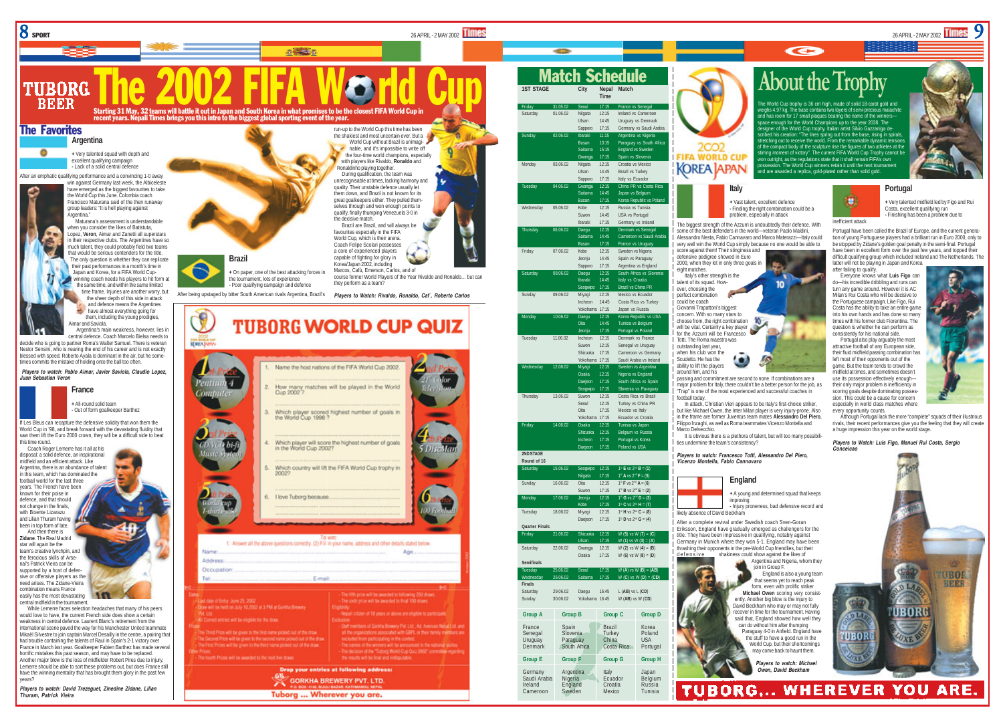

The Favorites

A

TIIBORG REER

**Argentina**

.<br>Argentina."



9

## The 2002 FIFA WORLD Cup The World Cup The World and Schedule About the Trophy **About the Trophy**

 $\overline{c}$ 

has room for 17 small plaques bearing the name of the winners– ough for the World Champions up to the year 2038. The signer of the World Cup trophy, Italian artist Silvio Gazzaniga denbed his creation: "The lines spring out from the base, rising in spiral retching out to receive the world. From the remarkable dynamic ten of the compact body of the sculpture rise the figures of two athletes at the stirring moment of victory". The current FIFA World Cup Trophy cannot be won outright, as the regulations state that it shall remain FIFA's own . The World Cup winners retain it until the next tournar and are awarded a replica, gold-plated rather than solid gold.



п inefficient attack

**<sup>+</sup>** Very talented midfield led by Figo and Rui Costa, excellent qualifying run **-** Finishing has been a problem due to

Portugal have been called the Brazil of Europe, and the current generation of young Portuguese players had a brilliant run in Euro 2000, only to be stopped by Zidane's golden goal penalty in the semi-final. Portugal have been in excellent form over the past few years, and topped their difficult qualifying group which included Ireland and The Netherlands. The latter will not be playing in Japan and Korea

**Portugal**

after failing to qualify. Everyone knows what **Luis Figo** can do—his incredible dribbling and runs can turn any game around. However it is AC Milan's Rui Costa who will be decisive to the Portuguese campaign. Like Figo, Rui Costa has the ability to take an entire game into his own hands and has done so many times with his former club Fiorentina. The question is whether he can perform as consistently for his national side.

Portugal also play arguably the most attractive football of any European side, their fluid midfield passing combination has left most of their opponents out of the game. But the team tends to crowd the midfield at times, and sometimes doesn't use its possession effectively enough their only major problem is inefficiency in scoring goals despite dominating posses sion. This could be a cause for concern especially in world class matches where every opportunity counts.

Although Portugal lack the more "complete" squads of their illustrious rivals, their recent performances give you the feeling that they will create a huge impression this year on the world stage.

*Players to Watch: Luis Figo, Manuel Rui Costa, Sergio Conceicao*



**KOREA APAN Italy**

Match Schedule

**Time** Friday 31.05.02 Seoul 17:15 France vs Seneg Saturday 01.06.02 Niigata 12:15 Ireland vs Cameroon

> Ulsan 14:45 Uruguay vs Denmark Sapporo 17:15 Germany vs Saudi Arabia Ibaraki 11:15 Argentina vs Nigeria Busan 13:15 Paraguay vs South Afri Saitama 15:15 England vs Sweden<br>Gwanniu 17:15 Snain vs Slovenia Spain vs Slovenia

Ulsan 14:45 Brazil vs Turkey Sapporo 17:15 Italy vs Ecuador Gwangiu 12:15 China PR vs Costa Ric Saitama 14:45 Japan vs Belgiun<br>Busan 17:15 Korea Republic v Busan 17:15 Korea Republic

Suwon 14:45 USA vs Portugal Ibaraki 17:15 Germany vs Ireland 12:15 Denmark vs Senegal Saitama 14:45 Cameroon vs Saudi Arab Busan 17:15 France vs Uruguay

Jeonju 14:45 Spain vs Paraguay Sapporo 17:15 Argentina vs England Daegu 12:15 South Africa vs Slovenia Ibaraki 14:45 Italy vs Croatia Seogwipo 17:15 Brazil vs China PR Miyagi 12:15 Mexico vs Ecuador Incheon 14:45 Costa Rica vs Turkey Yokohama 17:15 Japan vs Russia 12:15 Korea Republic vs US Oita 14:45 Tunisia vs Belgium 17:15 Portugal vs Poland

Suwon 12:15 Senegal vs Uruguay Shizuoka 17:15 Cameroon vs Germany Yokohama 17:15 Saudi Arabia vs Ireland Miyagi 12:15 Sweden vs Argentina Osaka 12:15 Nigeria vs England Daejeon 17:15 South Africa vs Spain Slovenia vs Paraguay

Seoul 12:15 Turkey vs China PR<br>Oita 17:15 Mexico vs Italy 17:15 Mexico vs Italy Yokohama 17:15 Ecuador vs Croatia Osaka 12:15 Tunisia vs Japan Incheon 17:15 Portugal vs Korea 17:15 Poland vs USA

Saturday 15.06.02 Seogwipo 12:15 1st **E** vs 2nd **B** = (**1**)  $1^{\text{H}}$  A vs  $2^{\text{M}}$  **F** = (**5**) Sunday 16.06.02 Oita 12:15 1st **F** vs 2nd **A** = (**6**) Suwon 17:15 1<sup>a</sup> B vs 2<sup>nd</sup> **E** = (**2**)<br>Jeonju 12:15 1<sup>a</sup> G vs 2<sup>nd</sup> D = (3) **Monday 12:15** 1<sup>a</sup> G vs 2<sup>nd</sup> D = (**3**)<br>Kabe 17:15 1ª C vs 2<sup>nd</sup> H = (1  $1^{\text{st}}$  **C** vs  $2^{\text{nd}}$  **H** = (**7**)

Daejeon 17:15  $1^{\text{st}}$  **D** vs  $2^{\text{nd}}$  **G** = (4)

Osaka 17:15 W (**6**) vs W (**8**) = (**D**)

Sunday 30.06.02 Yokohama 16:45 W (**AB**) vs W (**CD**)

Costa Rica

England Croatia Russia<br>
Sweden Mexico Tunisia

Ulsan 17:15 W (**1**) vs W (**3**) = (**A**)

Tuesday 25.06.02 Seoul 17:15 W (**A**) vs W (**B**) = (**AB**) Wednesday 26.06.02 Saitama 17:15 W (**C**) vs W (**D**) = (**CD**)

**1ST STAGE City Nepal Match**



The biggest strength of the Azzurri is undoubtedly their defence. With some of the best defenders in the world-veteran Paolo Maldini Alessandro Nesta, Fabio Cannavaro and Marco Materazzi—Italy could very well win the World Cup simply because no one would be able to

Italy's other strength is the talent of its squad. However, choosing the perfect combination could be coach Giovanni Trapattoni's biggest concern. With so many stars to

σ

passing and commitment are second to none. If combinations are a "Trap" is one of the most experienced and successful coaches in

In attack, Christian Vieri appears to be Italy's first-choice striker. but like Michael Owen, the Inter Milan player is very injury-prone. Also in the frame are former Juventus team mates **Alessandro Del Piero**, Filippo Inzaghi, as well as Roma teammates Vicenzo Montella and

It is obvious there is a plethora of talent, but will too many possibili-

*Players to watch: Francesco Totti, Alessandro Del Piero,*

## **England**

improving

After a complete revival under Swedish coach Sven-Goran Eriksson, England have gradually emerged as challengers for the title. They have been impressive in qualifying, notably against Germany in Munich where they won 5-1. England may have been thrashing their opponents in the pre-World Cup friendlies, but their<br>defensive shakiness could show against the likes of shakiness could show against the likes of

> join in Group F. can do without him after thumping may come back to haunt them. *Players to watch: Michael*

**-** Finding the right combination could be a

for the Azzurri will be Francesco Totti. The Roma maestro was | outstanding last year, when his club won the

*Vicenzo Montella, Fabio Cannovaro*



form, even with prolific striker **Michael Owen** scoring very consistently. Another big blow is the injury to the stuff to have a good run in the



major problem for Italy, there couldn't be a better person for the job, as



likely absence of David Beckham

World Cup, but their shortcomings

10

 $\overline{10}$ choose from, the right combination will be vital. Certainly a key player

Scudetto. He has the ability to lift the players around him, and his

football today.





**-** Injury proneness, bad defensive record and





David Beckham who may or may not fully recover in time for the tournament. Having said that, England showed how well they Paraguay 4-0 in Anfield. England have

*Owen, David Beckham*

**Group E Group F Group G Group H** Germany Argentina Italy Japan<br>Saudi-Arabia Nigeria - Ecuador Belgium

Cameroon



run-up to the World Cup this time has been the shakiest and most uncertain ever. But a World Cup without Brazil is unimagi-

**<sup>+</sup>** Very talented squad with depth and excellent qualifying campaign **-** Lack of a solid central defence After an emphatic qualifying performance and a convincing 1-0 away win against Germany last week, the Albiceleste have emerged as the biggest favourites to take the World Cup this June. Colombia coach Francisco Maturana said of the then runaway group leaders: "It is hell playing against Maturana's assessment is understandable when you consider the likes of Batistuta Lopez, **Veron**, Aimar and Zanetti all superstars

in their respective clubs. The Argentines have so much talent, they could probably field two teams that would be serious contenders for the title. The only question is whether they can replicate their past performances in a month's time in Japan and Korea, for a FIFA World Cupwinning coach needs his players to hit form at the same time, and within the same limited time frame. Injuries are another worry, but the sheer depth of this side in attack and defence means the Argentines have almost everything going for them, including the young prodigies, Aimar and Saviola.

decide who is going to partner Roma's Walter Samuel. There is veteran Nestor Sensini, who is nearing the end of his career and is not exactly

*Players to watch: Pablo Aimar, Javier Saviola, Claudio Lopez,*



World Cup in '98, and break forward with the devastating fluidity that saw them lift the Euro 2000 crown, they will be a difficult side to beat this time round.



easily has the most devastating central midfield in the tournament. While Lemerre faces selection headaches that many of his peers

would love to have, the current French side does show a certain weakness in central defence. Laurent Blanc's retirement from the international scene paved the way for his Manchester United teammate Mikaël Silvestre to join captain Marcel Desailly in the centre, a pairing that had trouble containing the talents of Raul in Spain's 2-1 victory over France in March last year. Goalkeeper Fabien Barthez has made several horrific mistakes this past season, and may have to be replaced. Another major blow is the loss of midfielder Robert Pires due to injury. Lemerre should be able to sort these problems out, but does France still have the winning mentality that has brought them glory in the past few years?

*Players to watch: David Trezeguet, Zinedine Zidane, Lilian Thuram, Patrick Vieira*



Name

Aridrass Occupation

lique will be held on July 10,2002 at 3 PM at Gorida Brewer

he lough Prizes will be awarded to the next five draw

to will be given to the first name picked out of the chaw

.<br>The Second Prize will be given to the second name picked out of the draw.<br>The First Prizes will be given to the third name picked out of the draw.

### **Brazil <sup>+</sup>** On paper, one of the best attacking forces in the tournament, lots of experience **-** Poor qualifying campaign and defence

After being upstaged by bitter South American rivals Argentina, Brazil's

the World Cup 1998 ?

in the World Cup 2002?

6. I love Tuborg because

Elevall

Tuborg ... Wherever you are.

Starting 31 May, 32 teams will battle it out in Japan and South Korea in what promises to be the closest FIFA World Cup in recent years. Nepali Times brings you this intro to the biggest global sporting event of the year.

Argentina's main weakness, however, lies in

central defence. Coach Marcelo Bielsa needs to blessed with speed. Roberto Ayala is dominant in the air, but he some-

*Juan Sebastian Veron*

**France <sup>+</sup>** All-round solid team **-** Out of form goalkeeper Barthez If Les Bleus can recapture the defensive solidity that won them the

Coach Roger Lemerre has it all at his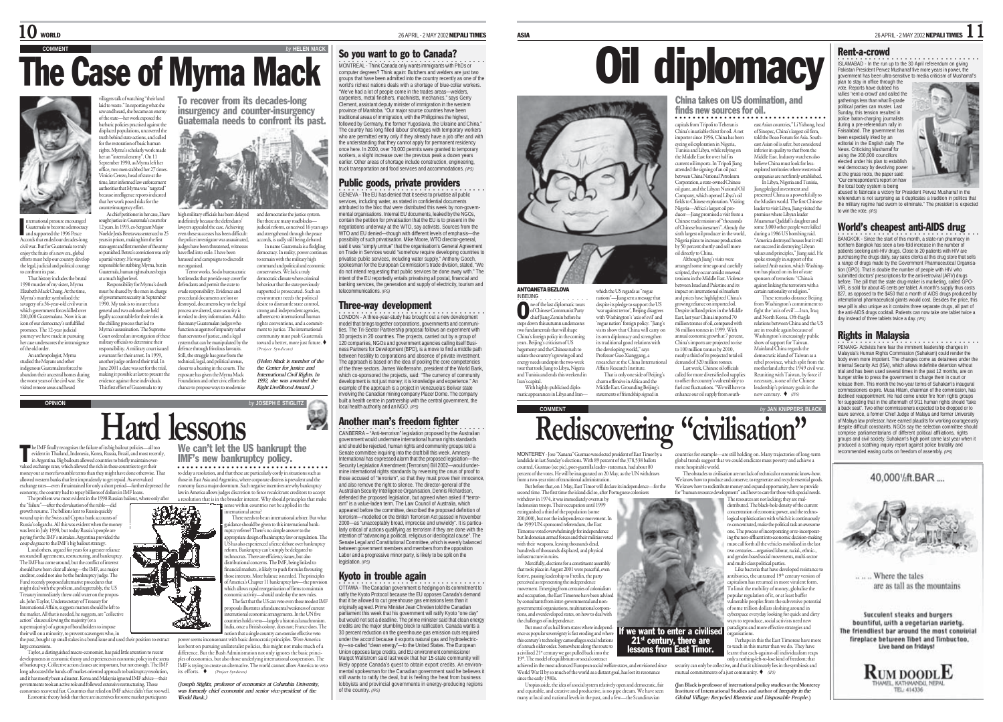# **COMMELEN MACK** The Case of Myrna Mack



national pressure encouraged Guatemala to become a democracy and supported the 1996 Peace Accords that ended our decades-long civil war. But for Guatemala to truly enjoy the fruits of a new era, global<br>efforts must belo our country develor efforts must help our coun the legal, judicial and political courage to confront its past. ar a much higher level. I

That history includes the brutal 1990 murder of my sister, Myrna Elizabeth Mack Chang. At the time, Myrna's murder symbolised the savagery of a 36-year-old civil war in which government forces killed over 200,000 Guatemalans. Now it is an icon of our democracy's unfulfilled promises. The 12-year judicial imey we have made in pursuing her case underscores the intransier of the old order.

An anthropologist, Myrna studied the Mayans and other indigenous Guatemalans forced to abandon their ancestral homes during the worst years of the civil war. She visited remote areas and heard

he IMF finally re

cognises the failure of its big bailout policies—all too

d for only a short period—further depress

This first effort of Guatemala to try

in Argentina. Big bailouts allowed countries to briefly maintain overvalued exchange rates, which allowed the rich in these countries to get their money out at more favourable terms than they might have done otherwise. That allowed western banks that lent imprudently to get repaid. As overvalued<br>exchange rates—even if maintained for only a short period—further depres

economy, the country had to repay billions of dollars in IMF loans.

the "failure"—after the devaluation of the ruble—did growth resume. The billions lent to Russia quickly ound up in the Swiss and Cyprus bank accounts of Russia's oligarchs. All this was evident when the money was lent in July 1998, but today Russia's people are paying for the IMF's mistakes. Argentina provided the part and the IMF's big bailout strategy. I, and others, argued for years for a greater reliance on standstill agreements, restructuring, and bankruptcy. The IMF has come around, but the conflict of interest should have been clear all along—the IMF, as a major creditor, could not also be the bankruptcy judge. The Fund recently proposed alternative procedures that might deal with the problem, and regrettably, the US Treasury immediately threw cold water on the proposals. John Taylor, Undersecretary of Treasury for International Affairs, suggests matters should be left to the market. All that is needed, he suggests, are "collective action" clauses allowing the majority (or a supermajority) of a group of bondholders to impose their will on a minority, to prevent scavengers who, in their win on a minority, to prevent scavengers who, in<br>the past, bought up small stakes in a bond issue and used their position to extract large concessions. Taylor, a distinguished macro-economist, has paid little attention to recent developments in economic theory and experiences in economic policy in the arena of bankruptcy. Collective action clauses are important, but not enough. The IMF long advocated the hands-off market-oriented approach to bankruptcy resolution, and it has mostly been a disaster. Korea and Malaysia ignored IMF advice—their governments took an active role and followed extensive restructuring. Those economies recovered fast. Countries that relied on IMF advice didn't fare too well. Economic theory holds that there are incentives for some market participants

villagers talk of watching "their land laid to waste." In reporting what she saw and heard, she became an enemy of the state—her work exposed the barbaric policies practised against the displaced populations, uncovered the truth behind state actions, and called for the restoration of basic human rights. Myrna's scholarly work made her an "internal enemy". On 11 September 1990, as Myrna left her office, two men stabbed her 27 times. Vinicio Cerezo, head of state at the time, later informed law enforcement authorities that Myrna was "targeted" because intelligence reports indicated

that her work posed risks for the punterinsurgency effort - 19 As chief petitioner in her case, I have high military officials has been delayed sought justice in Guatemala's courts for indefinitely because the defendants' 12 years. In 1993, ex-Sergeant Major<br>Noal de Janie Boren une contraved to <sup>35</sup> lawyers appealed the case. Achieving Noel de Jesús Beteta was senter even these successes has been difficult years in prison, making him the first the police investigator was assassinated, state agent and first member of the army judges have been threatened, witnesses so punished. Beteta's conviction was only a partial victory. He was partly responsible for stabbing Myrna, but in

emala, human rights abuses begin Responsibility for Myrna's death must be shared by the men in charge ent security in Septembe 1990. My task is to insure that a general and two colonels are held legally accountable for their roles in have fled into exile. I have been harassed and campaigns to discredit me organised. Terror works. So do bureaucratic bottlenecks that provide easy cover for defendants and permit the state to evade responsibility. Evidence and procedural documents are lost or destroyed, documents key to the legal process are altered, state security is

the chilling process that led to Myrna's assassination. The Supreme Court ordered an investigation of these military officials to determine their responsibility. A military court issued a warrant for their arrest. In 1999, another judge ordered their trial. In June 2001 a date was set for the trial, making it possible at last to present the evidence against these individuals. invoked to deny information. Add to this many Guatemalan judges who function as agents of impunity rather than servants of justice, and a legal system that can be manipulated by the defence through frivolous lawsuits. Still, the struggle has gone from the technical, legal, and political arenas, closer to a hearing in the courts. The exposure has given the Myrna Mack

To recover from its decades-long insurgency and counter-insurgency Guatemala needs to confront its past.



and democratise the justice system. But there are many roadblocks judicial reform, conceived 16 years ag and strengthened through the peace<br>and strengthened through the peace accords, is sadly still being debated. In name Guatemala is a fledgling III have stumented a waveguidence

to remain with the military high command and political and econom conservatives. We lack a truly democratic climate where criminal behaviour that the state previously supported is prosecuted. Such an onment needs the political desire to dismantle state control, strong and independent agencies, adherence to international human rights conventions, and a commitment to justice. The international ity must push Guatemala toward a better, more just future.

Foundation and other civic efforts the chance to propose ways to modernise *(Helen Mack is member of the the Center for Justice and International Civil Rights. In 1992, she was awarded the Right Livelihood Award .)*

(Project Syndicate)

**OPINION** *by* **JOSEPH E STIGLITZ**

### evident in Thailand, Indonesia, Korea, Russia, Brazil, and most recently, We can't let the US bankrupt the **Hard lessons**

The problem was most evident in the 1998 Russian bailout, where only after IMF's new bankruptcy policy. to delay a resolution, and that these are particularly costly in situations such as those in East Asia and Argentina, where corporate distress is prevalent and the ○○○○○○○○○○○○○○○ ○○○○○○○○○○○○○○○○○○○

economy faces a major downturn. Such negative incentives are why bankruptcy law in America allows judges discretion to force recalcitrant creditors to accept a resolution that is in the broader interest. Why should principles that make sense within countries not be applied in the international arena?

There needs to be an international arbiter. But what nce should be given to this international bankruptcy referee? There's no simple answer to the appropriate design of bankruptcy law or regulation. The US has also experienced a fierce debate over bankruptcy reform. Bankruptcy can't simply be delegated to technocrats. There are efficiency issues, but also distributional concerns. The IMF, being linked to financial markets, is likely to push for rules favouring those interests. More balance is needed. The principles of America's Chapter 11 bankruptcy law—the provision of America's Chapter 11 bankruptcy law—the provisio which allows rapid reorganisation of firms to maintain economic activity—should underlay the new rules. The fact that the US can veto even these modest IM proposals illustrates a fundamental weakness of current **inational economic arrangements. In the UN five** countries hold a veto—largely a historical anachronism. India, once a British colony, does not; France does. The

notion that a single country can exercise effective veto per seems inconsonant with basic democratic principles. Were America less bent on pursuing unilateralist policies, this might not make much of a difference. But the Bush Administration not only ignores the basic princis of economics, but also those underlying international cooperation. The IMF is trying to create an alternative. The world cannot allow America to veto its efforts. (Project Syndicate)

*(Joseph Stiglitz, professor of economics at Columbia University, was formerly chief economist and senior vice-president of the World Bank.)*

 $\bf{10}$  world  $^{\text{26}$  April -2 MAY 2002 NEPALI TIMES

### So you want to go to Canada?

**ONTREAL - Think Canada only wants immigrants with PhDs or** computer degrees? Think again: Butchers and welders are just two groups that have been admitted into the country recently as one of the world's richest nations deals with a shortage of blue-collar workers. "We've had a lot of people come in the trades areas—welders, carpenters, metal finishers, machinists, mechanics," says Gerry Clement, assistant deputy minister of immigration in the western province of Manitoba. "Our major source countries have been traditional areas of immigration, with the Philippines the highest, followed by Germany, the former Yugoslavia, the Ukraine and China." The country has long filled labour shortages with temporary workers who are permitted entry only if they already have a job offer and with the understanding that they cannot apply for permanent residency once here. In 2000, over 70,000 permits were granted to temporary workers, a slight increase over the previous peak a dozen years earlier. Other areas of shortage include construction, engineering, truck transportation and food services and accommodations. *(IPS)*

### Public goods, private providers

OENEVA - The EU has denied that it seeks to privatise all public services, including water, as stated in confidential documents attributed to the bloc that were distributed this week by non-governmental organisations. Internal EU documents, leaked by the NGOs, contain the petition for privatisation that the EU is to present in the negotiations underway at the WTO, say activists. Sources from the WTO and EU denied—though with different levels of emphasis—the possibility of such privatisation. Mike Moore, WTO director-general, said it was "simply untrue" that the organisation's General Agreement on Trade in Services would "somehow require developing countries to privatise public services, including water supply." Anthony Gooch, spokesman for the European Commission's trade division, stated, "We do not intend requesting that public services be done away with." The intent of the EU reportedly entails privatising all postal, financial and banking services, the generation and supply of electricity, tourism and telecommunications. *(IPS)*

### Three-way development

**LONDON - A three-year-study has brought out a new development** model that brings together corporations, governments and communi-ties. The Tri-Sector Partnership proposal follows an experiment with 30 projects in 20 countries. The projects, carried out by a group of 120 companies, NGOs and government agencies calling itself Business Partners for Development (BPD), is a move to find a middle path between hostility to corporations and absence of private investment. The approach is based on the idea of pooling the core competencies of the three sectors. James Wolfensohn, president of the World Bank, which co-sponsored the projects, said: "The currency of community development is not just money; it is knowledge and experience." An example of the approach is a project in Venezuela's Bolivar state involving the Canadian mining company Placer Dome. The company built a health centre in partnership with the central government, the local health authority and an NGO. *(IPS)*

### Another man's freedom fighter

.<br>CANBERRA – "Anti-terrorism" legislation proposed by the Australian government would undermine international human rights standards and should be rejected, human rights and community groups told a Senate committee inquiring into the draft bill this week. Amnesty International has expressed alarm that the proposed legislation Security Legislation Amendment (Terrorism) Bill 2002—would undermine international rights standards by reversing the onus of proof to those accused of "terrorism", so that they must prove their innocence and also remove the right to silence. The director-general of the Australian Security Intelligence Organisation, Dennis Richardson, defended the proposed legislation, but agreed when asked if "terrorism" is a value-laden term. The Law Council of Australia, which appeared before the committee, described the proposed definition of terrorism—modelled on the British Terrorism Act passed in November 2000—as "unaccentably broad, imprecise and unwieldy". It is particularly critical of actions qualifying as terrorism if they are done with the intention of "advancing a political, religious or ideological cause". The Senate Legal and Constitutional Committee, which is evenly balanced between government members and members from the opposition Labor and a progressive minor party, is likely to be split on the legislation. //ps

### Kyoto in trouble again

OUC THE LI CHAPTE LIGHT THE CHAPTER OF THE CAN BE CONDITION TO THE CAN BE COMMITMENT TO OTTAWA - The Canadian government is hedging on its commitment to ratify the Kyoto Protocol because the EU opposes Canada's demand that it be allowed to cut greenhouse gas emissions less than it originally agreed. Prime Minister Jean Chretien told the Canadian parliament this week that his government will ratify Kyoto "one day" but would not set a deadline. The prime minister said that clean energy credits are the major stumbling block to ratification. Canada wants a 30 percent reduction on the greenhouse gas emission cuts required under the accord because it exports natural gas and hydroelectricity—so-called "clean energy"—to the United States. The European Union opposes large credits, and EU environment commissioner Margot Wallstrom said last week that her 15-state community will likely oppose Canada's quest to obtain export credits. An environmental spokesman for the Canadian government said he believes it still wants to ratify the deal, but is feeling the heat from business lobbyists and provincial governments in energy-producing regions of the country. *(IPS)*



# **Rediscovering "civilisation"**

If we want to enter a civilised  $21<sup>st</sup>$  century, there are<br>lessons from East Timor.

war tiener suggest tin

MONTEREY - Jose "Xanana" Gusmao was elected president of East Timor by a landslide in last Sunday's elections. With 89 percent of the 378,538 ballots counted, Gusmao (see pic), poet-guerrilla leader- statesman, had about 80 percent of the votes. He will be inaugurated on 20 May, as the UN withdraws from a two-year stint of transitional administration.

But before that, on 1 May, East Timor will declare its independence—for the second time. The first time the island did so, after Portuguese colonisers

withdrew in 1974, it was immediately overrun by Indonesian troops. Their occupation until 1999 extinguished a third of the population (some 200,000), but not the independence movement. In the 1999 UN-sponsored referendum, the East Timorese voted overwhelmingly for independence but Indonesian armed forces and their militias voted with their weapons, leaving thousands dead, hundreds of thousands displaced, and physical infrastructure in ruins. Mercifully, elections for a constituent assembly

that took place in August 2001 were peaceful, even festive, passing leadership to Fretilin, the party perceived as representing the independence movement. Emerging from centuries of colonialism and occupation, the East Timorese have been advised by consultants from inter-governmental and non-governmental organisations, multinational corpora-tions, and overdeveloped states, on how to deal with the challenges of independence.

But most of us hail from states where indepe ence as popular sovereignty is fast eroding and where this century's technology camouflages social relations of a much older order. Somewhere along the route to a civilised 21<sup>e</sup> century we got pulled back into the

19th. The model of equilibrium or social contract achieved in the most advanced European social welfare states, and envisioned since World War II by so much of the world as a distant goal, has lost its resonance since the early 1980s.

Utopias aside, the idea of a social system relatively open and democratic, fair and equitable, and creative and productive, is no pipe dream. We have seen many at local and national levels in the past, and a few—the Scandinavian

Oil diplomacy

#### China takes on US domination, and finds new sources for oil. ───────────────────────────────

capitals from Tripoli to Teheran is China's insatiable thirst for oil. A net importer since 1996, China has been .<br>eyeing oil exploration in Nigeria,<br>Tunisia and Libya, while relying or Tunisia and Libya, while relying on the Middle East for over half its current oil imports. In Tripoli Jiang attended the signing of an oil pact between China National Petroleum Corporation, a state-owned Chinese oil giant, and the Libyan National Oil Company, which opened Libya's oil fields to Chinese exploration. Visiting Nigeria—Africa's largest oil producer—Jiang promised a visit from a Chinese trade mission of "thousands of Chinese businessmen". Already the sixth largest oil producer in the world, east Asian countries," Li Yizhong, head of Sinopec, China's largest oil firm, told the Boao Forum for Asia. Southeast Asian oil is safer, but considered inferior in quality to that from the Middle East. Industry watchers also believe China must look for lessexplored territories where western oil companies are not firmly established. In Libya, Nigeria and Tunisia, Jiang pledged investment and presented China as a powerful ally to the Muslim world. The first Chines leader to visit Libya, Jiang visited the premises where Libyan leader

Nigeria plans to increase production by 50 percent shortly and sell more oil directly to China. Although Jiang's visits were arranged some time ago and carefully scripted, they occur amidst renewed tensions in the Middle East. Violence Muammar Qaddafi's daughter and some 3,000 other people were killed during a 1986 US bombing raid. "America destroyed houses but it will not succeed in destroying Libyan values and principles," Jiang said. He spoke strongly in support of the isolated Arab nation, which Washington has placed on its list of state sponsors of terrorism: "China is

between Israel and Palestine and its impact on international oil markets and prices have highlighted China's growing reliance on imported oil. growing renance on imported on:<br>Despite inflated prices in the Middle East, last year China imported 70 million tonnes of oil, compared with 36 million tonnes in 1999. With annual economic growth at 7 percent, China's imports are projected to rise to 100 million tonnes by 2010, nearly a third of its projected total oil demand of 320 million tonnes. .<br>Insinet linking the terrorism with a certain nationality or religion." These remarks distance Beijing from Washington's commitment fight the 'axis of evil'—Iran, Iraq agut uit. aass on evan.<br>and North Korea. Oft-fragile. relations between China and the US are in trouble again because of Washington's increasingly public<br>show of support for Taiwan show of support for Taiwan. Mainland China regards the democratic island of Taiwan as a rebel province, which split from the

Last week, Chinese oil officials called for more diversified oil supplie to offset the country's vulnerability to fuel cost fluctuations. "We will have to enhance our oil supply from southmotherland after the 1949 civil war Reuniting with Taiwan, by force if necessary, is one of the Chinese leadership's primary goals in the new century.  $\bullet$  aps

ntries for example—are still holding on. Many trajectories of long-term <sup>g</sup>lobal trends suggest that we could eradicate mass poverty and achieve a

The obstacles to civilisation are not lack of technical or economic know-how. We know how to produce and conserve, to regenerate and recycle essential goods. We know how to redistribute money and expand opportunity, how to provide for "human resource development" and how to care for those with special needs. The resources are not lacking; they are maldistributed. The black-hole density of the current concentration of economic power, and the technological sophistication with which it is continuously re-concentrated, make the political task an awesome one. The process of incorporating or re-incorporating the non-affluent into economic decision-making must call forth all the vehicles mobilised in the last two centuries—organised labour, racial-, ethnic-, and gender-based social movements, multi-sector and multi-class political parties. Like bacteria that have developed resistance to antibiotics, the untamed 19<sup>th</sup> century version of capitalism has returned in more virulent form. To limit the mobility of money, globalise the popular regulation of it, or at least buffer vulnerable peoples from the subversive potential of some trillion dollars sloshing around in cyberspace everyday looking for quick and dirty ways to reproduce, social activists need new paradigms and more effective strategies and organisations. Perhaps in this the East Timorese have more teach in this matter than we do. They have earnt that each-against-all individualism reaps only a nothing-left-to-lose kind of freedom; that security can only be collective, and that it ultimately lies in the symbiosis and mutual commitments of a just community.  $\blacklozenge$  (IPS) **(Jan Black is professor of international policy studies at the Monterey Institute of International Studies and author of** *Inequity in the Global Village: Recycled Rhetoric and Disposable People***.)**

rallies 'rent-a-crowd' and called the gatherings less than what B-grade political parties can muster. Last Sunday, this tension resulted in police baton-charging journalists during a pre-referendum rally in Faisalabad. The government has been especially irked by an editorial in the English daily *The News*. Criticising Musharraf for using the 200,000 councillors elected under his plan to establish real democracy by devolving power at the grass roots, the paper said: "Our correspondent's report on how the local body system is being

abused to fabricate a victory for President Pervez Musharraf in the referendum is not surprising as it duplicates a tradition in politics that the military regime had sworn to eliminate." The president is expected to win the vote. *(IPS)*

### World's cheapest anti-AIDS drug

**BANGKOK - Since the start of this month, a state-run pharmacy in** northern Bangkok has seen a two-fold increase in the number of patients seeking anti-HIV drugs. Close to 20 patients with HIV are purchasing the drugs daily, say sales clerks at this drug store that sells a range of drugs made by the Government Pharmaceutical Organisation (GPO). That is double the number of people with HIV who submitted doctors' prescriptions for the anti-retroviral (ARV) drugs before. The pill that the state drug-maker is marketing, called GPO-VIR, is sold for about 45 cents per tablet. A month's supply thus costs \$27, as opposed to the \$450 that a month of AIDS drugs produced by international pharmaceutical giants would cost. Besides the price, this new pill is also unique as it contains three separate drugs, all part of the anti-AIDS drugs cocktail. Patients can now take one tablet twice a day instead of three tablets twice a day. *(IPS)*

### Rights in Malaysia

•<br>PENANG- Activists here fear the imminent leadership changes in Malaysia's Human Rights Commission (Suhakam) could render the body even more impotent. The changes come as detainees under the Internal Security Act (ISA), which allows indefinite detention without trial and has been used several times in the past 12 months, are on hunger strike to press the government to charge them in court or release them. This month the two-year terms of Suhakam's inaugural commissioners expire. Musa Hitam, chairman of the commission, has declined reappointment. He had come under fire from rights groups for suggesting that in the aftermath of 9/11 human rights should "take a back seat". Two other commissioners expected to be dropped or to leave service, a former Chief Judge of Malaya and former University of Malaya law professor, have earned plaudits for working courageously despite difficult constraints. NGOs say the selection committee should comprise parliamentarians of different political affiliations, rights comprise parliamentarians of different political and political affiliations, respectively. groups and civil society. Suhakam's high point came last year when it produced a scathing inquiry report against police brutality and recommended easing curbs on freedom of assembly. *(IPS)*

40.000%ft.BAR....



Where the tales are as tall as the mountains

Succulent steaks and burgers bountiful, with a vegetarian variety. The friendliest har around the most convivial fireplace between Tibet and Timbuctoo. Live band on Iridays!



ASIA 2002NEPALI TIMES 1

### Rent-a-crowd

•<br>ISLAMABAD - In the run up to the 30 April referendum on giving Pakistan President Pervez Musharraf five more years in power, the government has been ultra-sensitive to media criticism of Musharraf's<br>plan to stay in office these in the state of Musharraf's

verminent has been unra-sense vote. Reports have dubbed his



China's foreign policy in the years. Beijing's criticism of US hegemony and the Chinese rush to satiate the country's growing oil and energy needs underpin the two-week tour that took Jiang to Libya, Nigeria

# steps down this autumn underscores te po down this addition there is con-

chief Jiang Zemin before he

#### ANTOANETA BEZLOVA ○○○○○○○○○○○○○○○○ IN BEIJING ne of the last diplomatic tours<br>
of Chinese Communist Party<br>
chief Jiang Zemin before he which the US regards as "rogue nations"—Jiang sent a message that despite its pledge to support the US 'war against terror', Beijing disagrees with Washington's 'axis of evil' and 'rogue nation' foreign policy. "Jiang's visits show that China will carry on its own diplomacy and strengthen its traditional good relations with

the developing world," says Professor Guo Xianggang, a Affairs Research Institute.

### matic appearances in Libya and Iran charm offensive in Africa and the

researcher at the China Internatio That is only one side of Beijing's Middle East. Grounding Beijing's statements of friendship signed in

and Tunisia and ends this weekend in Iran's capital. With highly-publicised diplo-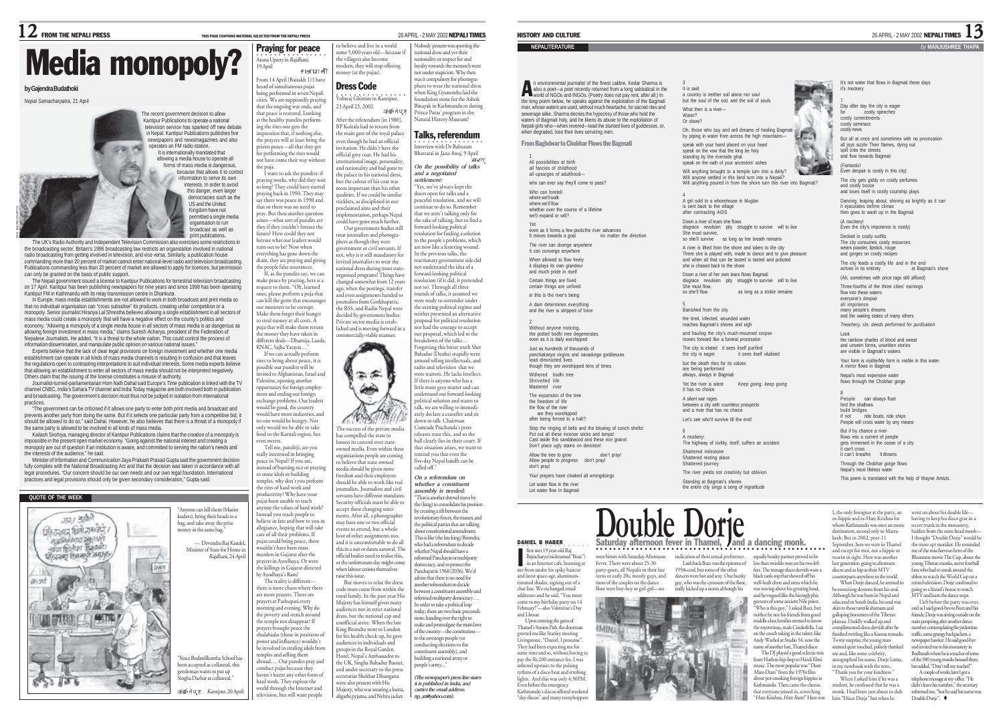### $\bf 12$  FROM THE NEPALI PRESS THIS PAGE CONTAINS MATERIAL SELECTED FROM THE NEPALI PRESS 26 APRIL - 2 MAY 2002 **NEPALI TIMES**

# Media monopoly?

### **by Gajendra Budathoki**

*Nepal Samacharpatra,* 21 April

MIN BAJRACHARYA

The recent government decision to allow Kantipur Publications to operate a national elevision service has sparked off new debate in Nepal. Kantipur Publications publishes five newspapers and newsmagazines and also operates an FM radio station. It is internationally mandated that allowing a media house to operate all forms of mass media is dangerous, because that allows it to control information to serve its own interests. In order to avoid this danger, even larger democracies such as the US and the United Kingdom have not permitted a single media

organisation to run broadcast as well as

print publications. The UK's Radio Authority and Independent Television Commission also exercises some restrictions in the broadcasting sector. Britain's 1996 broadcasting law restricts an organisation involved in national radio broadcasting from getting involved in television, and vice versa. Similarly, a publication house commanding more than 20 percent of market cannot enter national-level radio and television broadcasting. Publications commanding less than 20 percent of market are allowed to apply for licences, but permission can only be granted on the basis of public support.

The Nepali government issued a license to Kantipur Publications for terrestrial television broadcasting on 17 April. Kantipur has been publishing newspapers for nine years and since 1998 has been operating Kantipur FM in Kathmandu with its relay transmission centre in Dhankuta.

In Europe, mass media establishments are not allowed to work in both broadcast and print media so that no individual organisation can "cross subsidise" its products, creating unfair competition or a monopoly. Senior journalist Hiranya Lal Shrestha believes allowing a single establishment in all sectors of mass media could create a monopoly that will have a negative effect on the county's politics and economy. "Allowing a monopoly of a single media house in all sectors of mass media is as dangerous as allowing foreign investment in mass media," claims Suresh Acharya, president of the Federation of Nepalese Journalists. He added, "It is a threat to the whole nation. This could control the process of information dissemination, and manipulate public opinion on various national issues."

Experts believe that the lack of clear legal provisions on foreign investment and whether one media establishment can operate in all kinds of mass media channels is resulting in confusion and that leaves the regulations open to contrasting interpretations to suit individual interests. Some media experts believe that allowing an establishment to enter all sectors of mass media should not be interpreted negatively.

Others claim that the issuing of the license constitutes a misuse of authority. Journalist-turned-parliamentarian Hom Nath Dahal said Europe's *Time* publication is linked with the TV channel CNBC, India's Sahara TV channel and India Today magazine are both involved both in publication and broadcasting. The government's decision must thus not be judged in isolation from international practices.

"The government can be criticised if it allows one party to enter both print media and broadcast and prevents another party from doing the same. But if it selects one particular party from a competitive bid, it should be allowed to do so," said Dahal. However, he also believes that there is a threat of a monopoly if the same party is allowed to be involved in all kinds of mass media.

Kailash Sirohiya, managing director of Kantipur Publications claims that the creation of a monopoly is impossible in the present open market economy. "Going against the national interest and creating a opoly are out of question if an institution is aware, and committed to serving the nation's needs and<br>popoly are out of question if an institution is aware, and committed to serving the nation's needs and the interests of the audience," he said.

Minister of Information and Communication Jaya Prakash Prasad Gupta said the government decision fully complies with the National Broadcasting Act and that the decision was taken in accordance with all legal procedures. "Our concern should be our own needs and our own legal foundation. International practices and legal provisions should only be given secondary consideration," Gupta said.

### **QUOTE OF THE WEEK**



**Aruna Uprety in Rajdhani,** 19 April ersozoft From 14 April (Baisakh 1) I have heard of simultaneous pujas being performed in seven Nepali cities. We are supposedly praying that the ongoing war ends, and that peace is restored. Looking at the healthy pundits performing the rites one gets the pression that, if nothing else the prayers will at least bring the iests peace—all that they get for performing the rites would not have come their way without

Praying for peace

to believe and live in a world some 5,000 years old—because if the villagers also become modern, they will stop offering money (at the pujas).

Vubaraj Ghimire in Kantipur, Dress Code 23 April 23, 2002 After the referendum [in 1980], BP Koirala had to return from the main gate of the royal palace ven though he had an official ivitation. He didn't have the official grey coat. He had his.<br>official grey coat. He had his nternational image, personality and nationality and had gone to the palace in his national dress, but the colour of his coat was more important than his other qualities. If we could be similar ticklers, as disciplined in our proclaimed aims and their blementation, perhaps Nepal uld have gone much further. Our government bodies still eat journalists and photogra-

delfeiture

emment or civil servants. If

has compelled the state to me compenses are state to owned media. Even within these

高高 ₩

the puja. I want to ask the pundits: if ving works, why did they wait so long? They could have started praying back in 1990. They may say there was peace in 1990 and hat so there was no need to pray. But then another question arises—what sort of pundits are they if they couldn't foresee the future? How could they not breaser what our leaders would turn out to be? Now when

everything has gone down the drain, they are praying and giving the people false assurances. If, as the pundits say, we can <sup>p</sup>hers as though they were not, why is it still mandatory for nvited journalists to wear the national dress during most state-

make peace by praying, here is a request to them. "Oh, learned and a puja that can kill the germ that encourages our ministers to be corrupt. Make them forget their hunger o steal money at all costs. A putan money at an eosts.<br>1 ja that will make them retur money they have taken in organised programs? Things have changed somewhat from 12 years ago, when the postings, transfer and even assignments handed to journalists from Gorkhapatra, the RSS, and Radio Nepal were decided by government bodies. Private sector media is established and is moving forward in a commercially-viable manner.

different deals—Dhamija, Lauda, RNAC, Sajha Yatayat…" If we can actually perform re the contraction of the contract of the contract of the test of the set of the set of the set of the set of the set of the set of the set of the set of the set of the set of the set of the set of the set of the set of th possible our pundits will be invited to Afghanistan, Israel and

Palestine, opening another portunity for foreign employnt and ending our foreign

exchange problems. Our leaders would be good, the country would have more industries, and one would be hungry. Not only would we be able to take The success of the private media

food to the Karnali region, but even sweets. Tell me, panditji, are you

really interested in bringing peace in Nepal? If you are, istead of burning rice or prayin stead or building<br>stone idols or building temples, why don't you perform the rites of hard work and productivity? Why have your pujas been unable to teach ajas seen unasse to teaen<br>wone the values of hard work? Itead you teach people to believe in fate and bow to you in allegiance, hoping that will take care of all their problems. If ujas could bring peace, there uldn't have been mass murders in Gujarat after the rayers in Gujarat arter the<br>rayers in Ayodhaya. Or were the killings in Gujarat directed by Ayodhaya's Ram? The reality is different there is more chaos where there are more prayers. There are prayers at Pashupati every morning and evening. Why do the poverty and stench around the temple not disappear? If prayers brought peace the thulabadas (those in positions of power and influence) wouldn't rganisations people are coming to believe that state-owned media should be given more freedom and their employee should be able to work like real journalists. Journalists and civil servants have different mandates. Security officials must be able to accept these changing sentiments. After all, a photographer may have one or two official ents to attend, but a whole host of other assignments too, and it is uncomfortable to do all this in a suit or daura suruwal. The official bodies need to realise this, or the unfortunate day might come when labour unions themselves raise this issue. But moves to relax the dress code must come from within the royal family. In the past year His Majesty has himself given many audiences not in strict national dress, but the national cap and unofficial attire. When the late King Birendra went to London for his health check up, he gave audiences to individuals and

be involved in stealing idols from temples and selling them abroad…. Our pundits pray and conduct pujas because they haven't learnt any other form of hard work. They explore the world through the Internet and television, but still want people groups in the Royal Garden tel. Nepal's Ambassador to the UK, Singha Bahadur Basnet,

and under secretary to the press secretariat Shekhar Dhungana were also present with His Majesty, who was wearing a kurta, aligarhi pyjama, and Nehru jacket.

Nobody present was sporting the national dress and yet their nationality or respect for and

loyalty towards the monarch were not under suspicion. Why then was it compulsory for photogra-phers to wear the national dress when King Gyanendra laid the foundation stone for the Ashok Binayak in Kathmandu or during Prince Paras' program in the Natural History Museum?

 $\overline{\phantom{a}}$  Interview with Dr Baburam Talks, referendum Bhattarai in Jana Awaj, 9 April *On the possibility of talks and a negotiated settlement:* "Yes, we've always kept the doors open for talks and a peaceful resolution, and we will ontinue to do so. Remembe that we aren't talking only for the sake of talking, but to find a forward-looking political resolution for finding a solution to the people's problems, which are now like a festering wound. In the previous talks, the reactionary government side did not understand the idea of a forward-looking political resolution (if it did, it pretended not to). Through all three rounds of talks, it assumed we were ready to surrender under the existing political regime and neither presented an alternative proposal for political resolution nor had the courage to accept our proposal, which led to the breakdown of the talks… Forgetting this bitter truth Sher Bahadur (Deuba) stupidly went around telling intellectuals, and radio and television that we were traitors. He lacks intellect. If there is anyone who has a little more grey matter and can uur more gre*j maaar* s<br>understand our forward-looking political solution and wants to .<br>talk, we are willing to immediately declare a ceasefire and sit any december commenced<br>own to talk. Chairman Comrade Prachanda's press releases state this, and so the ball clearly lies in their court. If that situation arises, we want to mind you that even the five-day Nepal bandh can be called off." *On a referendum on whether a constituent assembly is needed:* "That is another shrewd move by the (king) to consolidate his position by creating a rift between the revolutionary forces, the masses, and the political parties that are talking about constitutional amendment. This is like (the late king) Birendra, who had a referendum to decide whether Nepal should have a reformed Panchayat or multipar democracy, and to protect the Panchayat in 1968 (2036). We'd advise that there is no need for another referendum to decide between a constituent assembly and reformed multiparty democracy…. In order to take a political leap oday, there are two basic prece ions: handing over the right to make and promulgate the main laws of the country—the constitution to the sovereign people (or nducting elections to the constituent assembly), and building a national army or people's army..." *(The newspaper's press line states it is published in India, and carries the email address: np\_az@yahoo.com).*

### HISTORY AND CULTURE 26 APRIL - 2 MAY 2002 NEPALI TIMES 13

#### **NEPALITERATURE** *by* **MANJUSHREE THAPA**

n environmental journalist of the finest calibre, Kedar Sharma is n environmental journalist of the finest calibre, Kedar Sharma is<br>also a poet—a poet recently returned from a long sabbatical in the<br>world of NGOs and INGOs. (Poetry does not pay rent, after all.) In world of NGOs and INGOs. (Poetry does not pay rent, after all.) In the long poem below, he speaks against the exploitation of the Bagmati river, whose waters are used, without much heartache, for sacred rites and sewerage alike. Sharma decries the hypocrisy of those who hold the waters of Bagmati holy, and he likens its abuse to the exploitation of Nepali girls who—when revered—lead the stunted lives of goddesses, or, when degraded, lose their lives servicing men.

From Baghdwar to Chobhar Flows the Bagmati

1 All possibilities at birth all fancies of childhood all upsurges of adulthoodwho can ever say they'll come to pass?

Who can foretell where we'll walk where we'll flow whether over the course of a lifetime we'll expand or wilt?

Yet even as it forms a few pools the river advances It moves towards a goal no matter the direction

The river can diverge anywhere It can converge anywhere When allowed to flow freely

it displays its own grandeur and much pride in itself Certain things are fixed certain things are unfixed

in this is the river's being A dam determines everything and the river is stripped of for-

Without anyone noticing, the potted bodhi tree degenerates even as it is daily worshipped Just as hundreds of thousands of *panchakanya* virgins and *navadurga* goddesses panunananya vigine al.<br>Iead diminished lives though they are worshipped tens of times Withered bodhi tree Shrivelled life Mastered river The expansion of the tree the freedom of life the flow of the river are they worshipped after being forced to a halt? Stop the ringing of bells and the blowing of conch shells! Put out all these incense sticks and lamps! Cast aside this sandalwood and these rice grains!

Don't place ugly stains on devotion!<br>Allow the tree to grow Allow the tree to grow don't pray!<br>Allow people to progress don't pray! don't pray! Your prayers have cloaked all wrongdoings

Let water flow in the river Let water flow in Bagmati

Saturday afternoon fever in Thamel.

Bajracharya (nicknamed "Buzz") in an Internet cafe, beaming at were bitten with Saturday Afternoon Fever. There were about 25-30 party-goers, all Nepalis in their late

teens or early 20s, mostly guys, and most of the couples on the dance floor were boy-boy or girl-girl—no

me from under his spiky haircut rimmed shades, signing out of a addresses and he said, "You must come to my birthday party on 14 February!"—also Valentine's Day

and Lhosar. Upon entering the gates of Thamel's Station Pub, the doorman greeted me like Stanley meeting Livingstone, "Daniel, I presume". They had been expecting me for some time and so, without having to pay the Rs 200 entrance fee, I was ushered upstairs to the pulsing rythms of a disco beat and stro lights. And this was only 4:30PM. Even before the emergency Kathmandu's discos offered weekend

first met 19 year-old Raj

and latest space-age, aluminum-

.........ca anacea, arg<br>chat line. We excha

It has no choice and a river that has no choice Let's see who'll survive till the end!

 $6$  modesn A mockery: The highway of civility, itself, suffers an accident Shattered milestone

The river yields not creativity but oblivion



indication of their sexual preference. Laid-back Buzz was the epitome of 1950s cool, but some of the other dancers were hot and sexy. One hunky



a country is neither soil alone nor soul but the soul of the soil, and the soil of souls What then is a river— Oh, those who buy and sell dreams of healing Bagmati by piping in water from across the high mountains

It is said

Water? Or shore?

speak on the vow that the king be holy standing by the riverside ghat speak on the oath of your ancestors' ashes Will anything brought to a temple turn into a deity? Will anyone settled in this land turn into a Nepali? Will anything poured in from the shore turn this river into Bagmati?

4 A girl sold to a whorehouse in Muglan is sent back to the village after contracting AIDS

Down a river of tears she flows disgrace revulsion pity struggle to survive will to live She must survive, so she'll survive as long as her breath remains A river is lifted from the shore and taken to the city

There she is played with, made to dance and to give pleasure and when all that can be tasted is tasted and polluted she is chased back to the shore Down a river of her own tears flows Bagmati

disgrace revulsion pity struggle to survive will to live She must flow,<br>She must flow, as long as a trickle remains

5 Banished from the city the tired, infected, wounded water reaches Bagmati's shores and sigh and hauling the city's much-mourned corpse moves forward like a funeral procession The city is elated it sees itself purified<br>the city is eager it sees itself it sees itself vitalise

but the death rites for its values are being performed always, always in Bagmati

Yet the river is silent *Keep going, keep going*

A silent war rages between a city with countless prospects

Shattered resting place Shattered journey

Standing at Bagmati's shores

the entire city sings a song of ingratitude





guy, who was the cynosure of the floor, really kicked up a storm although his

equally hunky partner proved to be less than twinkle-toes on his two left feet. The teenage disco dervish wore a black tank-top that showed off his well-built chest and arms which he was waving above his gyrating head, and he vogued like the hieroglyphic estures of some ancient Nile priest. I ○○○○○○○○○○○○○○○○○○○○○○○○○○○○○○○○○○○○○○○○○○ ○○○○○○○○○○

"Who is this guy," I asked Buzz, but neither he nor his friends from good middle-class families seemed to know the mysterious, male Cinderfella. I sat on the couch taking in the talent, like Andy Warhol at Studio 54, now the me of another hot. Thamel disco. The DJ played a good eclectic mix from Harlem hip-hop to Hindi filmi music. The most popular was "Dum

Maro Dum" from the 1970s film

Kathmandu. The that everyone joined in, screeching "Hare Krishna, Hare Ram!" Here was

galloping horsemen of the Tibetan plateau. I boldly walked up and complete disco dervish after he finished twirling like a Kansas tornado. To my surprise, the young man seemed quite touched, politely thanked me and, like some celebrity, autographed his name, Dorje Lama, in my notebook with the note, "Thank you for your kindness."

akin to those tantrik shamans and

When I asked him if he was a student, he confessed that he was a monk. I had been just about to dub him "Disco Dorje" but when he

went on about his double life having to keep his disco gear in a secret trunk in the monastery. hidden from the stern head monk— I thought "Double Dorje" would be the more apt moniker. He reminded me of the mischievous hero of the Bhutanese movie The Cup, about the young Tibetan monks, secret football ns who had to sneak around the abbot to watch the World Cup on a rented television. Dorie confessed to going to a friend's house to watch MTV and learn the dance steps. I left before the party was over,

number, contemplating the pedestria A couple of weeks later I got a

informed me, "but he said his name was Double Dorie"



costly news But all at once and sometimes with no provocation all joys sizzle Their flames, dying out spill onto the streets and flow towards Bagmati (Fantastic! Even despair is costly in this city)

it's mockery Day after day the city is eager costly speeches costly commitments costly seminars

The city gets giddy on costly perfumes and costly booze and loses itself in costly courtship plays Dancing, leaping about, shining as brightly as it can it ejaculates before climax then goes to wash up in the Bagmati (A mockery!

It's not water that flows in Bagmati these days

Even the city's impotence is costly) Decked in costly outfits The city consumes costly resources wears powder, lipstick, rouge and gorges on costly recipes

The city leads a costly life and in the end<br>arrives in its entirety at Banmati's shore arrives in its entiret

(Ah, sometimes with price tags still affixed) Three-fourths of the three cities' earnings flow into these waters everyone's despair all impotence many people's dreams many people's dieams<br>and the waking states of many others

*Treachery, sin, deeds performed for purification* Look the rainbow shades of blood and sweat and unseen forms, unwritten stories are visible in Bagmati's waters Your form is visible/My form is visible in this water

A mirror flows in Bagmati Nepal's most expensive water flows through the Chobhar gorge

People can always float ford the shallows build bridges if not ride boats, ride ships People will cross water by any means

But if by chance a river flows into a current of people gets immersed in the ocean of a city

it can't cross : can't cross<br>! can't breathe It drowns

Through the Chobhar gorge flows Nepal's most lifeless water

This poem is translated with the help of Wayne Amtzis.

I, the only foreigner at the party, an ex-hippie and ex-Hare Krishna for whom Kathmandu was once an exotic destination, second only to Marrakesh. But in 2002, post-11 September, here we were in Thamel and except for moi, not a hippie or tourist in sight. Here was another lost generation going to afternoon discos and as hip as their MTV counterparts anywhere in the world. When Dorje danced, he seemed to be exorcising demons from his soul.<br>Although hause hom in Napal and

Although he was born in Nepal and educated in South India, his soul was and as I said good-bye to Buzz and his friends, Dorje was sitting outside on the stairs perspiring after another dance traffic, some grungy backpackers, a newspaper hawker. He said good-bye and invited me to his monastery in

Bodhnath where he is a teacher of some of the 500 young monks housed there, but added, "Don't tell my teacher!" telephone message at my office. "He didn't leave his number," the secretar



about pot-smoking foreign hippies in

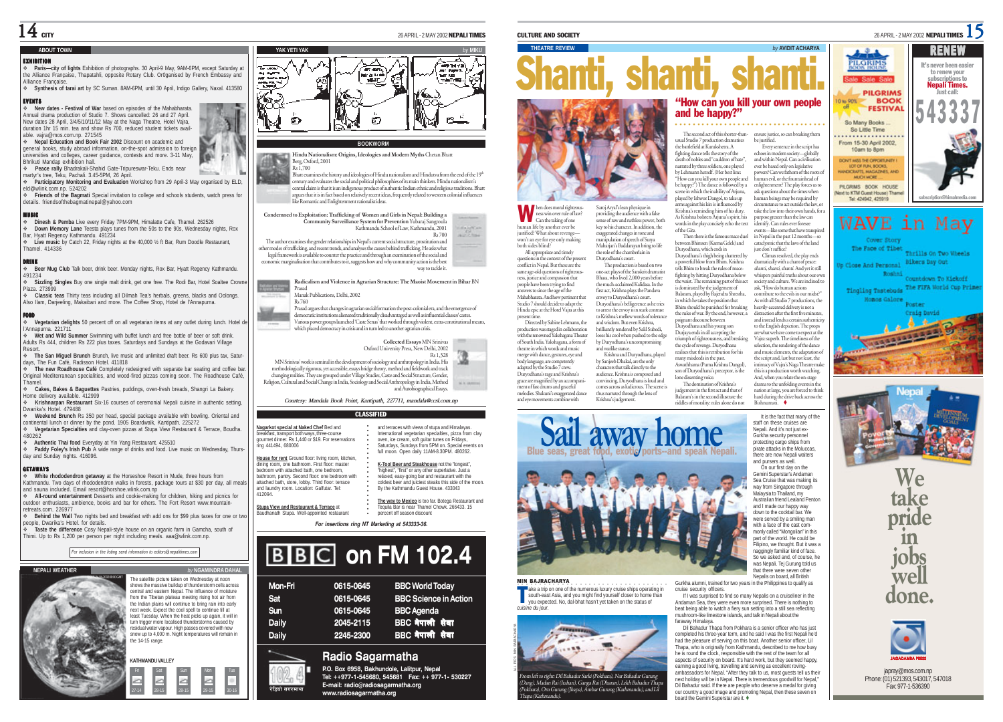#### **ABOUT TOWN**

#### EXHIBITION

 **Paris—city of lights** Exhibition of photographs. 30 April-9 May, 9AM-6PM, except Saturday at the Alliance Française, Thapatahli, opposite Rotary Club. Or0ganised by French Embassy and Alliance Francais

 **Synthesis of tarai art** by SC Suman. 8AM-6PM, until 30 April, Indigo Gallery, Naxal. 413580 EVENTS

 **New dates - Festival of War** based on episodes of the Mahabharata. Annual drama production of Studio 7. Shows cancelled: 26 and 27 April. New dates 28 April, 3/4/5/10/11/12 May at the Naga Theatre, Hotel Vajra, duration 1hr 15 min. tea and show Rs 700, reduced student tickets available. vajra@mos.com.np. 271545

 **Nepal Education and Book Fair 2002** Discount on academic and general books, study abroad information, on-the-spot admission to foreign universities and colleges, career guidance, contests and more. 3-11 May, Bhrikuti Mandap exhibition hall.

**Peace rally** Bhadrakali-Shahid Gate-Tripureswar-Teku. Ends near

martyr's tree, Teku, Pachali. 3.45-5PM, 26 April.

 **Participatory Monitoring and Evaluation** Workshop from 29 April-3 May organised by ELD, eld@wlink.com.np. 524202

 **Friends of the Bagmati** Special invitation to college and schools students, watch press for details. friendsofthebagmatinepal@yahoo.com

#### MUSIC

 **Dinesh & Pemba** Live every Friday 7PM-9PM, Himalatte Cafe, Thamel. 262526 **Down Memory Lane** Teesta plays tunes from the 50s to the 90s, Wednesday nights, Rox

Bar, Hyatt Regency Kathmandu. 491234 **Live music** by Catch 22, Friday nights at the 40,000 ½ ft Bar, Rum Doodle Restaurant, Thamel. 414336

DRINK **Beer Mug Club** Talk beer, drink beer. Monday nights, Rox Bar, Hyatt Regency Kathmandu. 491234

 **Sizzling Singles** Buy one single malt drink, get one free. The Rodi Bar, Hotel Soaltee Crowne Plaza. 273999 **Classic teas** Thirty teas including all Dilmah Tea's herbals, greens, blacks and Oolongs.

Also Ilam, Darjeeling, Makaibari and more. The Coffee Shop, Hotel de l'Annapurna.

 **Vegetarian delights** 50 percent off on all vegetarian items at any outlet during lunch. Hotel de l'Annapurna. 221711

 **Wet and Wild Summer** Swimming with buffet lunch and free bottle of beer or soft drink. Adults Rs 444, children Rs 222 plus taxes. Saturdays and Sundays at the Godavari Village Resort.

**The San Miguel Brunch** Brunch, live music and unlimited draft beer. Rs 600 plus tax, Satur-

days, The Fun Café, Radisson Hotel. 411818 **The new Roadhouse Café** Completely redesigned with separate bar seating and coffee bar. Original Mediterranean specialities, and wood-fired pizzas coming soon. The Roadhouse Café, Thamel.

 **Cakes, Bakes & Baguettes** Pastries, puddings, oven-fresh breads, Shangri La Bakery. Home delivery available. 412999 **Krishnarpan Restaurant** Six-16 courses of ceremonial Nepali cuisine in authentic setting,

Dwarika's Hotel. 479488 **Weekend Brunch** Rs 350 per head, special package available with bowling. Oriental and

continental lunch or dinner by the pond. 1905 Boardwalk, Kantipath. 225272 **Vegetarian Specialties** and clay-oven pizzas at Stupa View Restaurant & Terrace, Boudha. 480262

**Authentic Thai food** Everyday at Yin Yang Restaurant. 425510

 **Paddy Foley's Irish Pub** A wide range of drinks and food. Live music on Wednesday, Thursday and Sunday nights. 416096.

#### GETAWAYS

 **White rhododendron getaway** at the Horseshoe Resort in Mude, three hours from Kathmandu. Two days of rhododendron walks in forests, package tours at \$30 per day, all meals and sauna included. Email resort@horshoe.wlink.com.np

 **All-round entertainment** Desserts and cookie-making for children, hiking and picnics for outdoor enthusiasts, ambience, books and bar for others. The Fort Resort www.mountainretreats.com. 226977

 **Behind the Wall** Two nights bed and breakfast with add ons for \$99 plus taxes for one or two people, Dwarika's Hotel. for details.

 **Taste the difference** Cosy Nepali-style house on an organic farm in Gamcha, south of Thimi. Up to Rs 1,200 per person per night including meals. aaa@wlink.com.np.

*For inclusion in the listing send information to editors@nepalitimes.com*



----

27-14 28-15 28-15 29-15 30-16

### **YAK YETI YAK** *by* **MIKU**  $250$ ira tin<br>NGC 1 mar. v is 心

#### **BOOKWORM**

**Hindu Nationalism: Origins, Ideologies and Modern Myths** Chetan Bhatt Berg, Oxford, 2001 Rs 1,700

Bhatt examines the history and ideologies of Hindu nationalism and Hindutva from the end of the 19\*<br>century and evaluates the social and political philosophies of its main thinkers. Hindu nationalism's central claim is that it is an indigenous product of authentic Indian ethnic and religious traditions. Bhatt argues that it is in fact based on relatively recent ideas, frequently related to western colonial influences

like Romantic and Enlightenment rationalist ideas. **Condemned to Exploitation: Trafficking of Women and Girls in Nepal: Building a Community Surveillance System for Prevention** Yubaraj Sangroula Kathmandu School of Law, Kathmandu, 2001 i<br>Bartha

Rs 700 The author examines the gender relationships in Nepal's current social structure, prostitution and

other modes of trafficking, and recent trends, and analyses the causes behind trafficking. He asks what legal framework is available to counter the practice and through an examination of the social and external marginalisation that contributes to it, suggests how and why community action is the best way to tackle it.

**Radicalism and Violence in Agrarian Structure: The Maoist Movement in Bihar** BN Prasad

Manak Publications, Delhi, 2002 Rs 760

Prasad argues that changes in agrarian social formation the post-colonial era, and the emergence of democratic institutions alienated traditionally disadvantaged as well as influential classes/ castes. Various power groups launched 'Caste Senas' that worked through violent, extra-constitutional means, which placed democracy in crisis and in turn led to another agrarian crisis.

**Collected Essays** MN Srinivas

Oxford University Press, New Delhi, 2002 Rs 1,328 MN Srinivas' work is seminal in the development of sociology and anthropology in India. His methodologically rigorous, yet accessible, essays bridge theory, method and fieldwork and track changing realities. They are grouped under Village Studies, Caste and Social Structure, Gender, Religion, Cultural and Social Change in India, Sociology and Social Anthropology in India, Method and Autobiographical Essays. **MARKET** 

*Courtesy: Mandala Book Point, Kantipath, 227711, mandala@ccsl.com.np*

#### CLASSIFIED

| Nagarkot special at Naked Chef Bed and<br>breakfast, transport both ways, three-course<br>gourmet dinner, Rs 1,440 or \$19. For reservations<br>ring 441494, 680006<br>House for rent Ground floor: living room, kitchen,                                   | and terraces with views of stupa and Himalavas.<br>International vegetarian specialties, pizza from clay<br>oven, ice cream, soft quitar tunes on Fridays.<br>Saturdays, Sundays from 5PM on, Special events on<br>full moon. Open daily 11AM-8.30PM, 480262. |  |  |  |
|-------------------------------------------------------------------------------------------------------------------------------------------------------------------------------------------------------------------------------------------------------------|---------------------------------------------------------------------------------------------------------------------------------------------------------------------------------------------------------------------------------------------------------------|--|--|--|
| dining room, one bathroom. First floor: master<br>bedroom with attached bath, one bedroom.<br>bathroom, pantry. Second floor: one bedroom with<br>attached bath, store, lobby, Third floor; terrace<br>and laundry room, Location: Galfutar, Tel:<br>412094 | K-Too! Beer and Steakhouse not the "longest".<br>"highest". "first" or any other superlative. Just a<br>relaxed, easy-going bar and restaurant with the<br>coldest beer and juiciest steaks this side of the moon.<br>By the Kathmandu Guest House, 433043    |  |  |  |
| Stupa View and Restaurant & Terrace at<br>Baudhanath Stupa, Well-appointed restaurant                                                                                                                                                                       | The way to Mexico is too far. Botega Restaurant and<br>Tequila Bar is near Thamel Chowk, 266433, 15<br>percent off season discount                                                                                                                            |  |  |  |
| For insertions ring NT Marketing at 543333-36.                                                                                                                                                                                                              |                                                                                                                                                                                                                                                               |  |  |  |

# **BBC** on FM 102.4

| Mon-Fri      | 0615-0645 | <b>BBC World Today</b>       |
|--------------|-----------|------------------------------|
| Sat          | 0615-0645 | <b>BBC Science in Action</b> |
| Sun          | 0615-0645 | <b>BBC</b> Agenda            |
| <b>Daily</b> | 2045-2115 | <b>BBC नेपाली सेवा</b>       |
| <b>Daily</b> | 2245-2300 | BBC नेपाली सेवा              |
|              |           |                              |

### **Radio Sagarmatha**

रेडियो सगरमाथा

**Nagarkot spe** breakfast, tra gourmet dinne ring 441494

bedroom, with bathroom, pa attached bath and laundry re 412094.

> **P.O. Box 6958, Bakhundole, Lalitpur, Nepal Tel: ++977-1-545680, 545681 Fax: ++ 977-1- 530227 E-mail: radio@radiosagarmatha.org www.radiosagarmatha.org**



hen does moral righteous ness win over rule of law? Can the taking of one human life by another ever be justified? What about revenge won't an eye for eye only making both sides blind? All appropriate and timely estions in the context of the present Saroj Aryal's lean physique in providing the audience with a false sense of raw and ruthless power, both key to his character. In addition, the exaggerated changes in tone and manipulation of speech of Surya Maharjan's Baddarayan bring to life the role of the chamberlain in Duryodhana's court.

The production is based on two one-act plays of the Sanskrit dramatist Bhasa, who lived 2,000 years before the much-acclaimed Kalidasa. In the first act, Krishna plays the Pandava envoy to Duryodhana's court. Duryodhana's belligerence as he tries to arrest the envoy is in stark contrast to Krishna's mellow words of tolerance and wisdom. But even Krishna, brilliantly rendered by Salil Subedi, loses his cool when pushed to the edge by Duryodhana's uncompromising

Krishna and Duryodhana, played by Sanjeeb Dhakal, are the only *crees tormaal*, are the only audience. Krishna is composed and convincing, Duryodhana is loud and comes across as ludicrous. The scene is thus narrated through the lens of



usual Studio 7 production dramatises the battlefield at Kurukshetra. A fighting dance tells the story of the death of nobles and "cauldron of hate", narrated by three soldiers, one played by Lehmann herself. (Her best line: "How can you kill your own people and be happy?") The dance is followed by a scene in which the inability of Arjuna, <sup>p</sup>layed by Ishwor Dangol, to take up arms against his kin is influenced by Krishna's reminding him of his duty. As Krishna bolsters Arjuna's spirit, his words in the play concisely echo the text be justified.

**THEATRE REVIEW** *by* **AVIDIT ACHARYA**

of the Gita. Then there is the famous mace duel between Bhimsen (Karma Gelek) and Duryodhana, which ends in Duryodhana's thigh being shattered by a powerful blow from Bhim. Krishna tells Bhim to break the rules of macefighting by hitting Duryodhana below the waist. The remaining part of this act is dominated by the judgement of Balaram, played by Rajendra Shrestha, in which he takes the position that Bhim should be punished for breaking the rules of war. By the end, however, a poignant discourse between ,<br>rvodhana and his voung son Durjaya ends in all accepting the triumph of righteousness, and breaking<br>the cycle of nywnoe Duryodhana enge. Duryodhana realises that this is retribution for his many misdeeds in the past. Aswathhama (Purna Krishna Dangol), son of Duryodhana's preceptor, is the lone dissenting voice. The domination of Krishna's

judgement in the first act and that of Balaram's in the second illustrate the riddles of morality: rules alone do not

Every sentence in the script has echoes in modern society—globally and within Nepal. Can a civilisation ever be based only on legislative powers? Can we fathom of the roots of human evil, or the fountainhead of enlightenment? The play forces us to ask questions about the times when human beings may be required by circumstance to act outside the law, or take the law into their own hands, for a purpose greater than the law can identify. Can rules ever foresee events—like some that have transpired in Nepal in the past 12 months—so cataclysmic that the laws of the land just don't suffice?

Climax resolved, the play ends dramatically with a chant of peace: shanti, shanti, shanti. And yet it still whispers painful truths about our own society and culture. We are inclined to ask, "How do human actions contribute to the evils in our midst?" As with all Studio 7 productions, the heavily-accented delivery is not a distraction after the first five minutes, and instead lends a certain authenticity to the English depiction. The props are what we have come to expect at the Vajra: superb. The timeliness of the selection, the rendering of the dance and music elements, the adaptation of the script and, last but not least, the intimacy of Vajra's Naga Theatre make this is a production worth watching. this is a production where the on-stage<br>And, when you relate the on-stage





The Face of Tibet

pirate attacks in the Moluccas, there are now Nepali waiters and pursers as well. On our first day on the Gemini Superstar's Andaman Sea Cruise that was making its way from Singapore through way non cangapore and Australian friend Lealand Penton and I made our happy way down to the cocktail bar. We were served by a smiling man with a face of the cast commonly called "Mongolian" in this part of the world. He could be Filipino, we thought. But it was a naggingly familiar kind of face. So we asked and, of course, he

was Nepali. Tej Gurung told us

It is the fact that many of the staff on these cruises are Nepali. And it's not just ex-Gurkha security personnel protecting cargo ships from

that there were seven other Nepalis on board, all British Gurkha alumni, trained for two years in the Philippines to qualify as cruise security officers.

If I was surprised to find so many Nepalis on a cruiseliner in the Andaman Sea, they were even more surprised. There is nothing to beat being able to watch a fiery sun setting into a still sea reflecting mushroom-like limestone islands, and talk in Nepali about the faraway Himalaya.

Dil Bahadur Thapa from Pokhara is a senior officer who has just completed his three-year term, and he said I was the first Nepali he'd had the pleasure of serving on this boat. Another senior officer, Lil Thapa, who is originally from Kathmandu, described to me how busy he is round the clock, responsible with the rest of the team for all aspects of security on board. It's hard work, but they seemed happy, earning a good living, travelling and serving as excellent rovingambassadors for Nepal. "After they talk to us, most quests tell us their next holiday will be in Nepal. There is tremendous goodwill for Nepal," Dil Bahadur said. If there are people who deserve a medal for giving our country a good image and promoting Nepal, then these seven on board the Gemini Superstar are it.  $\spadesuit$ 



**Bikers Day Out Jo Close And Personal** Roshni Countdown To Kickoff Tingling Thatebuds The FIFA World Cup Prime Monos Galore **bater** 

Thrills On Two Wheels

**We take**

**pride in jobs well done.**



janray@mos.com.np Phone: (01) 521393, 543017, 547018 Fax: 977-1-536390



MIN BAJRACHARYA

ake a trip on one of the numerous luxury cruise ships operating in ake a trip on one of the numerous luxury cruise ships operating in<br>South-east Asia, and you might find yourself closer to home than<br>you expected. No, dal-bhat hasn't yet taken on the status of *cuisine du jour*.





(Dang), Madan Rai (Itahari), Ganga Rai (Dharan), Lekh Bahadur Thapa (Pokhara), Om Gurung (Jhapa), Ambar Gurung (Kathmandu), and Lil Thapa (Kathmandu).

Duryodhana's rage and Krishna's grace are magnified by an accompaniment of fast drums and graceful melodies. Shakuni's exaggerated dance and warlike stance.



W